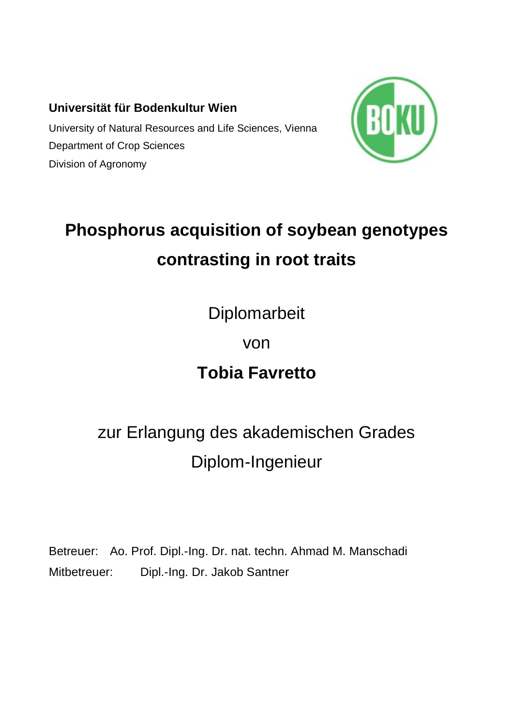## **Universität für Bodenkultur Wien**

University of Natural Resources and Life Sciences, Vienna Department of Crop Sciences Division of Agronomy



# **Phosphorus acquisition of soybean genotypes contrasting in root traits**

Diplomarbeit

# von

# **Tobia Favretto**

# zur Erlangung des akademischen Grades Diplom-Ingenieur

Betreuer: Ao. Prof. Dipl.-Ing. Dr. nat. techn. Ahmad M. Manschadi Mitbetreuer: Dipl.-Ing. Dr. Jakob Santner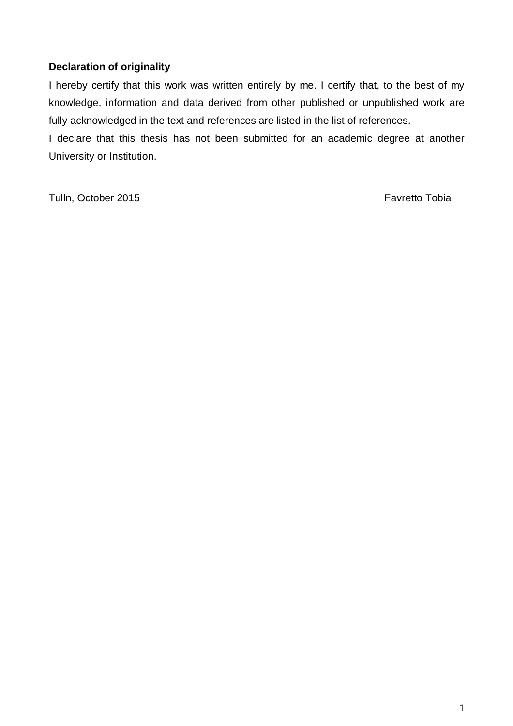#### **Declaration of originality**

I hereby certify that this work was written entirely by me. I certify that, to the best of my knowledge, information and data derived from other published or unpublished work are fully acknowledged in the text and references are listed in the list of references.

I declare that this thesis has not been submitted for an academic degree at another University or Institution.

Tulln, October 2015 **Favretto Tobia**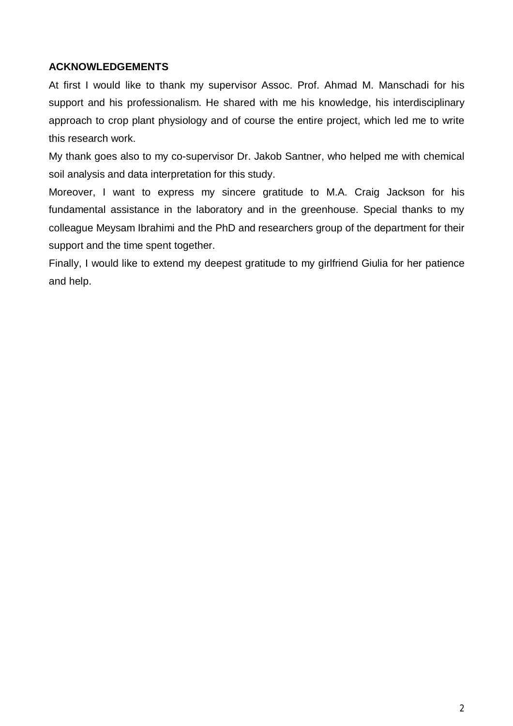#### **ACKNOWLEDGEMENTS**

At first I would like to thank my supervisor Assoc. Prof. Ahmad M. Manschadi for his support and his professionalism. He shared with me his knowledge, his interdisciplinary approach to crop plant physiology and of course the entire project, which led me to write this research work.

My thank goes also to my co-supervisor Dr. Jakob Santner, who helped me with chemical soil analysis and data interpretation for this study.

Moreover, I want to express my sincere gratitude to M.A. Craig Jackson for his fundamental assistance in the laboratory and in the greenhouse. Special thanks to my colleague Meysam Ibrahimi and the PhD and researchers group of the department for their support and the time spent together.

Finally, I would like to extend my deepest gratitude to my girlfriend Giulia for her patience and help.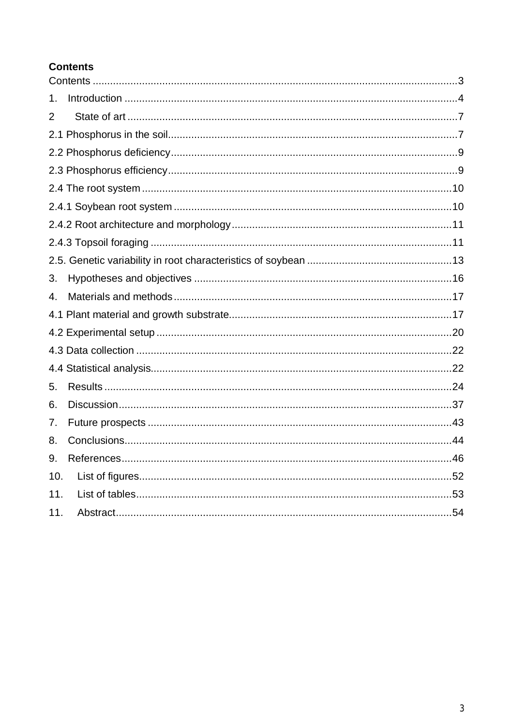## **Contents**

| 1.  |  |
|-----|--|
| 2   |  |
|     |  |
|     |  |
|     |  |
|     |  |
|     |  |
|     |  |
|     |  |
|     |  |
| 3.  |  |
| 4.  |  |
|     |  |
|     |  |
|     |  |
|     |  |
| 5.  |  |
| 6.  |  |
| 7.  |  |
| 8.  |  |
| 9.  |  |
| 10. |  |
| 11. |  |
| 11. |  |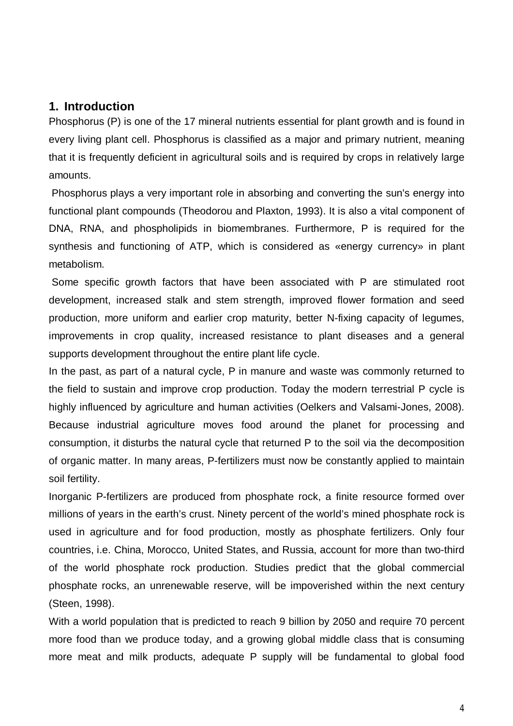#### **1. Introduction**

Phosphorus (P) is one of the 17 mineral nutrients essential for plant growth and is found in every living plant cell. Phosphorus is classified as a major and primary nutrient, meaning that it is frequently deficient in agricultural soils and is required by crops in relatively large amounts.

 Phosphorus plays a very important role in absorbing and converting the sun's energy into functional plant compounds (Theodorou and Plaxton, 1993). It is also a vital component of DNA, RNA, and phospholipids in biomembranes. Furthermore, P is required for the synthesis and functioning of ATP, which is considered as «energy currency» in plant metabolism.

 Some specific growth factors that have been associated with P are stimulated root development, increased stalk and stem strength, improved flower formation and seed production, more uniform and earlier crop maturity, better N-fixing capacity of legumes, improvements in crop quality, increased resistance to plant diseases and a general supports development throughout the entire plant life cycle.

In the past, as part of a natural cycle, P in manure and waste was commonly returned to the field to sustain and improve crop production. Today the modern terrestrial P cycle is highly influenced by agriculture and human activities (Oelkers and Valsami-Jones, 2008). Because industrial agriculture moves food around the planet for processing and consumption, it disturbs the natural cycle that returned P to the soil via the decomposition of organic matter. In many areas, P-fertilizers must now be constantly applied to maintain soil fertility.

Inorganic P-fertilizers are produced from phosphate rock, a finite resource formed over millions of years in the earth's crust. Ninety percent of the world's mined phosphate rock is used in agriculture and for food production, mostly as phosphate fertilizers. Only four countries, i.e. China, Morocco, United States, and Russia, account for more than two-third of the world phosphate rock production. Studies predict that the global commercial phosphate rocks, an unrenewable reserve, will be impoverished within the next century (Steen, 1998).

With a world population that is predicted to reach 9 billion by 2050 and require 70 percent more food than we produce today, and a growing global middle class that is consuming more meat and milk products, adequate P supply will be fundamental to global food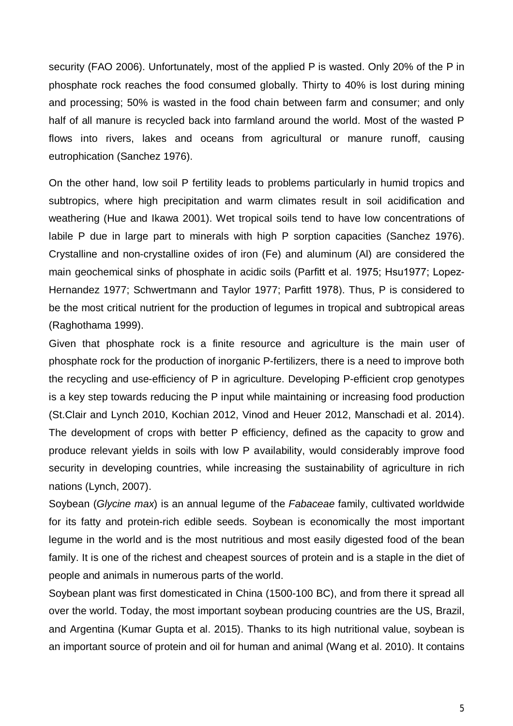security (FAO 2006). Unfortunately, most of the applied P is wasted. Only 20% of the P in phosphate rock reaches the food consumed globally. Thirty to 40% is lost during mining and processing; 50% is wasted in the food chain between farm and consumer; and only half of all manure is recycled back into farmland around the world. Most of the wasted P flows into rivers, lakes and oceans from agricultural or manure runoff, causing eutrophication (Sanchez 1976).

On the other hand, low soil P fertility leads to problems particularly in humid tropics and subtropics, where high precipitation and warm climates result in soil acidification and weathering (Hue and Ikawa 2001). Wet tropical soils tend to have low concentrations of labile P due in large part to minerals with high P sorption capacities (Sanchez 1976). Crystalline and non-crystalline oxides of iron (Fe) and aluminum (Al) are considered the main geochemical sinks of phosphate in acidic soils (Parfitt et al. 1975; Hsu1977; Lopez-Hernandez 1977; Schwertmann and Taylor 1977; Parfitt 1978). Thus, P is considered to be the most critical nutrient for the production of legumes in tropical and subtropical areas (Raghothama 1999).

Given that phosphate rock is a finite resource and agriculture is the main user of phosphate rock for the production of inorganic P-fertilizers, there is a need to improve both the recycling and use-efficiency of P in agriculture. Developing P-efficient crop genotypes is a key step towards reducing the P input while maintaining or increasing food production (St.Clair and Lynch 2010, Kochian 2012, Vinod and Heuer 2012, Manschadi et al. 2014). The development of crops with better P efficiency, defined as the capacity to grow and produce relevant yields in soils with low P availability, would considerably improve food security in developing countries, while increasing the sustainability of agriculture in rich nations (Lynch, 2007).

Soybean (*Glycine max*) is an annual legume of the *Fabaceae* family, cultivated worldwide for its fatty and protein-rich edible seeds. Soybean is economically the most important legume in the world and is the most nutritious and most easily digested food of the bean family. It is one of the richest and cheapest sources of protein and is a staple in the diet of people and animals in numerous parts of the world.

Soybean plant was first domesticated in China (1500-100 BC), and from there it spread all over the world. Today, the most important soybean producing countries are the US, Brazil, and Argentina (Kumar Gupta et al. 2015). Thanks to its high nutritional value, soybean is an important source of protein and oil for human and animal (Wang et al. 2010). It contains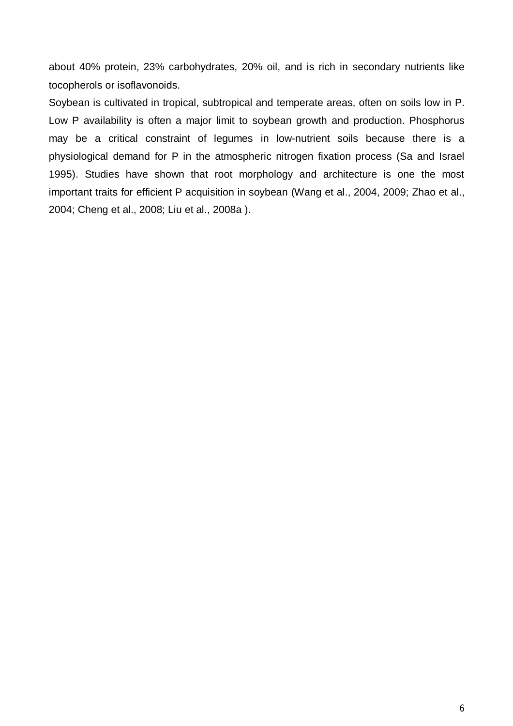about 40% protein, 23% carbohydrates, 20% oil, and is rich in secondary nutrients like tocopherols or isoflavonoids.

Soybean is cultivated in tropical, subtropical and temperate areas, often on soils low in P. Low P availability is often a major limit to soybean growth and production. Phosphorus may be a critical constraint of legumes in low-nutrient soils because there is a physiological demand for P in the atmospheric nitrogen fixation process (Sa and Israel 1995). Studies have shown that root morphology and architecture is one the most important traits for efficient P acquisition in soybean (Wang et al., 2004, 2009; Zhao et al., 2004; Cheng et al., 2008; Liu et al., 2008a ).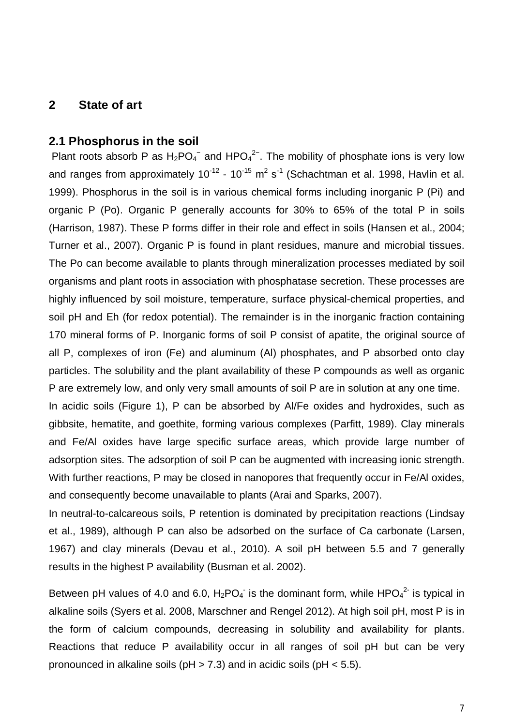#### **2 State of art**

#### **2.1 Phosphorus in the soil**

Plant roots absorb P as  $H_2PO_4^-$  and  $HPO_4^{2-}$ . The mobility of phosphate ions is very low and ranges from approximately 10<sup>-12</sup> - 10<sup>-15</sup> m<sup>2</sup> s<sup>-1</sup> (Schachtman et al. 1998, Havlin et al. 1999). Phosphorus in the soil is in various chemical forms including inorganic P (Pi) and organic P (Po). Organic P generally accounts for 30% to 65% of the total P in soils (Harrison, 1987). These P forms differ in their role and effect in soils (Hansen et al., 2004; Turner et al., 2007). Organic P is found in plant residues, manure and microbial tissues. The Po can become available to plants through mineralization processes mediated by soil organisms and plant roots in association with phosphatase secretion. These processes are highly influenced by soil moisture, temperature, surface physical-chemical properties, and soil pH and Eh (for redox potential). The remainder is in the inorganic fraction containing 170 mineral forms of P. Inorganic forms of soil P consist of apatite, the original source of all P, complexes of iron (Fe) and aluminum (Al) phosphates, and P absorbed onto clay particles. The solubility and the plant availability of these P compounds as well as organic P are extremely low, and only very small amounts of soil P are in solution at any one time.

In acidic soils (Figure 1), P can be absorbed by Al/Fe oxides and hydroxides, such as gibbsite, hematite, and goethite, forming various complexes (Parfitt, 1989). Clay minerals and Fe/Al oxides have large specific surface areas, which provide large number of adsorption sites. The adsorption of soil P can be augmented with increasing ionic strength. With further reactions, P may be closed in nanopores that frequently occur in Fe/AI oxides, and consequently become unavailable to plants (Arai and Sparks, 2007).

In neutral-to-calcareous soils, P retention is dominated by precipitation reactions (Lindsay et al., 1989), although P can also be adsorbed on the surface of Ca carbonate (Larsen, 1967) and clay minerals (Devau et al., 2010). A soil pH between 5.5 and 7 generally results in the highest P availability (Busman et al. 2002).

Between pH values of 4.0 and 6.0,  $H_2PO_4$  is the dominant form, while HPO $_4^2$  is typical in alkaline soils (Syers et al. 2008, Marschner and Rengel 2012). At high soil pH, most P is in the form of calcium compounds, decreasing in solubility and availability for plants. Reactions that reduce P availability occur in all ranges of soil pH but can be very pronounced in alkaline soils ( $pH > 7.3$ ) and in acidic soils ( $pH < 5.5$ ).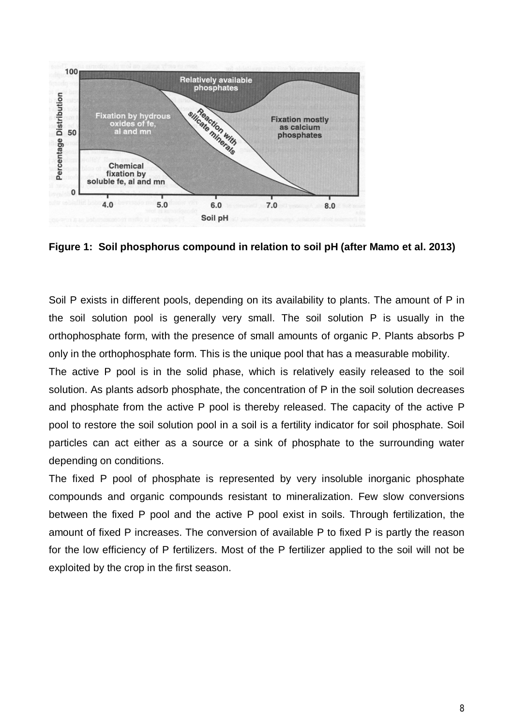



Soil P exists in different pools, depending on its availability to plants. The amount of P in the soil solution pool is generally very small. The soil solution P is usually in the orthophosphate form, with the presence of small amounts of organic P. Plants absorbs P only in the orthophosphate form. This is the unique pool that has a measurable mobility.

The active P pool is in the solid phase, which is relatively easily released to the soil solution. As plants adsorb phosphate, the concentration of P in the soil solution decreases and phosphate from the active P pool is thereby released. The capacity of the active P pool to restore the soil solution pool in a soil is a fertility indicator for soil phosphate. Soil particles can act either as a source or a sink of phosphate to the surrounding water depending on conditions.

The fixed P pool of phosphate is represented by very insoluble inorganic phosphate compounds and organic compounds resistant to mineralization. Few slow conversions between the fixed P pool and the active P pool exist in soils. Through fertilization, the amount of fixed P increases. The conversion of available P to fixed P is partly the reason for the low efficiency of P fertilizers. Most of the P fertilizer applied to the soil will not be exploited by the crop in the first season.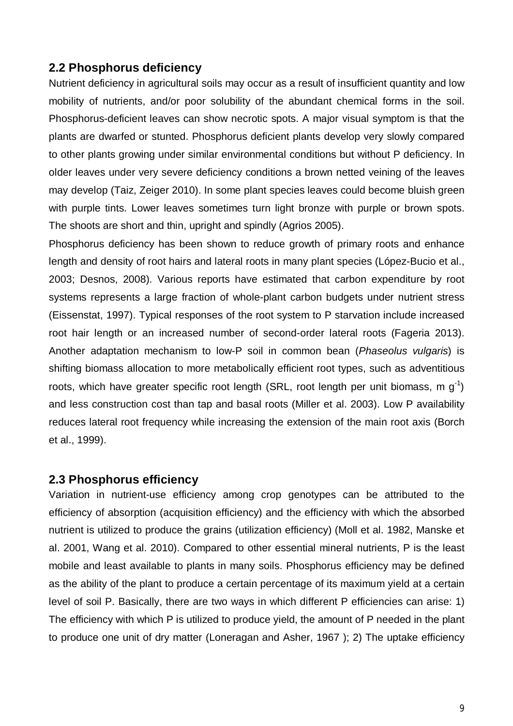## **2.2 Phosphorus deficiency**

Nutrient deficiency in agricultural soils may occur as a result of insufficient quantity and low mobility of nutrients, and/or poor solubility of the abundant chemical forms in the soil. Phosphorus-deficient leaves can show necrotic spots. A major visual symptom is that the plants are dwarfed or stunted. Phosphorus deficient plants develop very slowly compared to other plants growing under similar environmental conditions but without P deficiency. In older leaves under very severe deficiency conditions a brown netted veining of the leaves may develop (Taiz, Zeiger 2010). In some plant species leaves could become bluish green with purple tints. Lower leaves sometimes turn light bronze with purple or brown spots. The shoots are short and thin, upright and spindly (Agrios 2005).

Phosphorus deficiency has been shown to reduce growth of primary roots and enhance length and density of root hairs and lateral roots in many plant species (López-Bucio et al., 2003; Desnos, 2008). Various reports have estimated that carbon expenditure by root systems represents a large fraction of whole-plant carbon budgets under nutrient stress (Eissenstat, 1997). Typical responses of the root system to P starvation include increased root hair length or an increased number of second-order lateral roots (Fageria 2013). Another adaptation mechanism to low-P soil in common bean (*Phaseolus vulgaris*) is shifting biomass allocation to more metabolically efficient root types, such as adventitious roots, which have greater specific root length (SRL, root length per unit biomass, m  $g^{-1}$ ) and less construction cost than tap and basal roots (Miller et al. 2003). Low P availability reduces lateral root frequency while increasing the extension of the main root axis (Borch et al., 1999).

#### **2.3 Phosphorus efficiency**

Variation in nutrient-use efficiency among crop genotypes can be attributed to the efficiency of absorption (acquisition efficiency) and the efficiency with which the absorbed nutrient is utilized to produce the grains (utilization efficiency) (Moll et al. 1982, Manske et al. 2001, Wang et al. 2010). Compared to other essential mineral nutrients, P is the least mobile and least available to plants in many soils. Phosphorus efficiency may be defined as the ability of the plant to produce a certain percentage of its maximum yield at a certain level of soil P. Basically, there are two ways in which different P efficiencies can arise: 1) The efficiency with which P is utilized to produce yield, the amount of P needed in the plant to produce one unit of dry matter (Loneragan and Asher, 1967 ); 2) The uptake efficiency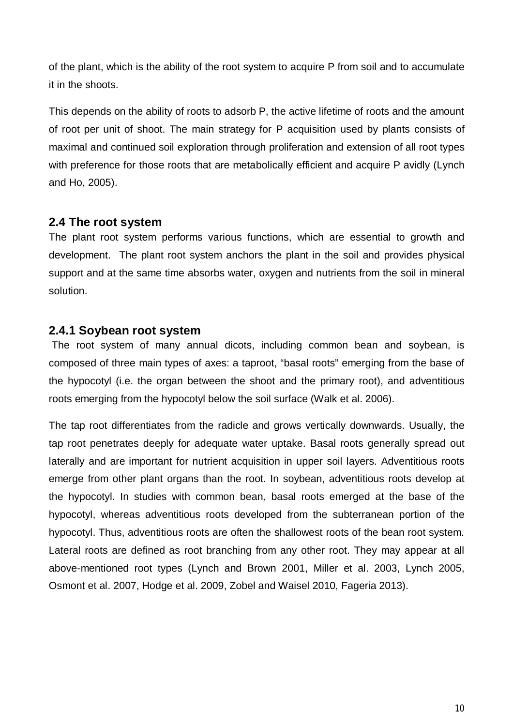of the plant, which is the ability of the root system to acquire P from soil and to accumulate it in the shoots.

This depends on the ability of roots to adsorb P, the active lifetime of roots and the amount of root per unit of shoot. The main strategy for P acquisition used by plants consists of maximal and continued soil exploration through proliferation and extension of all root types with preference for those roots that are metabolically efficient and acquire P avidly (Lynch and Ho, 2005).

## **2.4 The root system**

The plant root system performs various functions, which are essential to growth and development. The plant root system anchors the plant in the soil and provides physical support and at the same time absorbs water, oxygen and nutrients from the soil in mineral solution.

## **2.4.1 Soybean root system**

 The root system of many annual dicots, including common bean and soybean, is composed of three main types of axes: a taproot, "basal roots" emerging from the base of the hypocotyl (i.e. the organ between the shoot and the primary root), and adventitious roots emerging from the hypocotyl below the soil surface (Walk et al. 2006).

The tap root differentiates from the radicle and grows vertically downwards. Usually, the tap root penetrates deeply for adequate water uptake. Basal roots generally spread out laterally and are important for nutrient acquisition in upper soil layers. Adventitious roots emerge from other plant organs than the root. In soybean, adventitious roots develop at the hypocotyl. In studies with common bean*,* basal roots emerged at the base of the hypocotyl, whereas adventitious roots developed from the subterranean portion of the hypocotyl. Thus, adventitious roots are often the shallowest roots of the bean root system. Lateral roots are defined as root branching from any other root. They may appear at all above-mentioned root types (Lynch and Brown 2001, Miller et al. 2003, Lynch 2005, Osmont et al. 2007, Hodge et al. 2009, Zobel and Waisel 2010, Fageria 2013).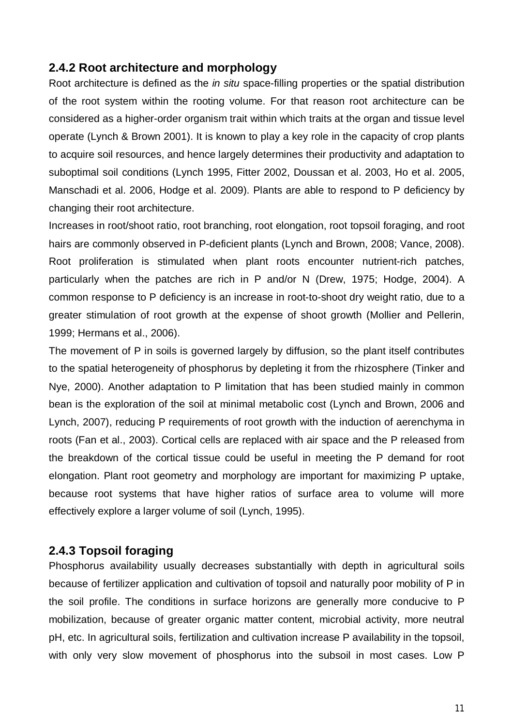## **2.4.2 Root architecture and morphology**

Root architecture is defined as the *in situ* space-filling properties or the spatial distribution of the root system within the rooting volume. For that reason root architecture can be considered as a higher-order organism trait within which traits at the organ and tissue level operate (Lynch & Brown 2001). It is known to play a key role in the capacity of crop plants to acquire soil resources, and hence largely determines their productivity and adaptation to suboptimal soil conditions (Lynch 1995, Fitter 2002, Doussan et al. 2003, Ho et al. 2005, Manschadi et al. 2006, Hodge et al. 2009). Plants are able to respond to P deficiency by changing their root architecture.

Increases in root/shoot ratio, root branching, root elongation, root topsoil foraging, and root hairs are commonly observed in P-deficient plants (Lynch and Brown, 2008; Vance, 2008). Root proliferation is stimulated when plant roots encounter nutrient-rich patches, particularly when the patches are rich in P and/or N (Drew, 1975; Hodge, 2004). A common response to P deficiency is an increase in root-to-shoot dry weight ratio, due to a greater stimulation of root growth at the expense of shoot growth (Mollier and Pellerin, 1999; Hermans et al., 2006).

The movement of P in soils is governed largely by diffusion, so the plant itself contributes to the spatial heterogeneity of phosphorus by depleting it from the rhizosphere (Tinker and Nye, 2000). Another adaptation to P limitation that has been studied mainly in common bean is the exploration of the soil at minimal metabolic cost (Lynch and Brown, 2006 and Lynch, 2007), reducing P requirements of root growth with the induction of aerenchyma in roots (Fan et al., 2003). Cortical cells are replaced with air space and the P released from the breakdown of the cortical tissue could be useful in meeting the P demand for root elongation. Plant root geometry and morphology are important for maximizing P uptake, because root systems that have higher ratios of surface area to volume will more effectively explore a larger volume of soil (Lynch, 1995).

## **2.4.3 Topsoil foraging**

Phosphorus availability usually decreases substantially with depth in agricultural soils because of fertilizer application and cultivation of topsoil and naturally poor mobility of P in the soil profile. The conditions in surface horizons are generally more conducive to P mobilization, because of greater organic matter content, microbial activity, more neutral pH, etc. In agricultural soils, fertilization and cultivation increase P availability in the topsoil, with only very slow movement of phosphorus into the subsoil in most cases. Low P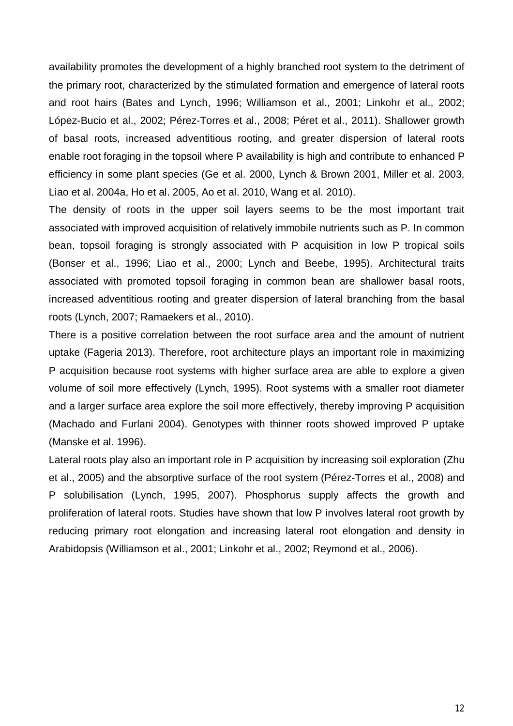availability promotes the development of a highly branched root system to the detriment of the primary root, characterized by the stimulated formation and emergence of lateral roots and root hairs (Bates and Lynch, 1996; Williamson et al., 2001; Linkohr et al., 2002; López-Bucio et al., 2002; Pérez-Torres et al., 2008; Péret et al., 2011). Shallower growth of basal roots, increased adventitious rooting, and greater dispersion of lateral roots enable root foraging in the topsoil where P availability is high and contribute to enhanced P efficiency in some plant species (Ge et al. 2000, Lynch & Brown 2001, Miller et al. 2003, Liao et al. 2004a, Ho et al. 2005, Ao et al. 2010, Wang et al. 2010).

The density of roots in the upper soil layers seems to be the most important trait associated with improved acquisition of relatively immobile nutrients such as P. In common bean, topsoil foraging is strongly associated with P acquisition in low P tropical soils (Bonser et al., 1996; Liao et al., 2000; Lynch and Beebe, 1995). Architectural traits associated with promoted topsoil foraging in common bean are shallower basal roots, increased adventitious rooting and greater dispersion of lateral branching from the basal roots (Lynch, 2007; Ramaekers et al., 2010).

There is a positive correlation between the root surface area and the amount of nutrient uptake (Fageria 2013). Therefore, root architecture plays an important role in maximizing P acquisition because root systems with higher surface area are able to explore a given volume of soil more effectively (Lynch, 1995). Root systems with a smaller root diameter and a larger surface area explore the soil more effectively, thereby improving P acquisition (Machado and Furlani 2004). Genotypes with thinner roots showed improved P uptake (Manske et al. 1996).

Lateral roots play also an important role in P acquisition by increasing soil exploration (Zhu et al., 2005) and the absorptive surface of the root system (Pérez-Torres et al., 2008) and P solubilisation (Lynch, 1995, 2007). Phosphorus supply affects the growth and proliferation of lateral roots. Studies have shown that low P involves lateral root growth by reducing primary root elongation and increasing lateral root elongation and density in Arabidopsis (Williamson et al., 2001; Linkohr et al., 2002; Reymond et al., 2006).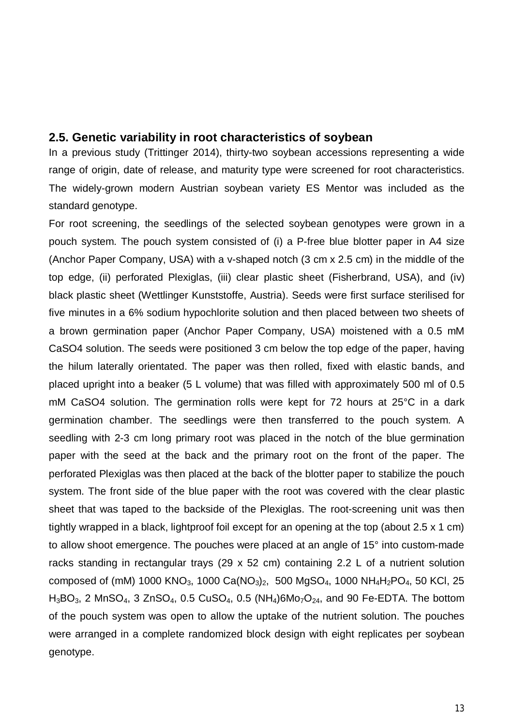#### **2.5. Genetic variability in root characteristics of soybean**

In a previous study (Trittinger 2014), thirty-two soybean accessions representing a wide range of origin, date of release, and maturity type were screened for root characteristics. The widely-grown modern Austrian soybean variety ES Mentor was included as the standard genotype.

For root screening, the seedlings of the selected soybean genotypes were grown in a pouch system. The pouch system consisted of (i) a P-free blue blotter paper in A4 size (Anchor Paper Company, USA) with a v-shaped notch (3 cm x 2.5 cm) in the middle of the top edge, (ii) perforated Plexiglas, (iii) clear plastic sheet (Fisherbrand, USA), and (iv) black plastic sheet (Wettlinger Kunststoffe, Austria). Seeds were first surface sterilised for five minutes in a 6% sodium hypochlorite solution and then placed between two sheets of a brown germination paper (Anchor Paper Company, USA) moistened with a 0.5 mM CaSO4 solution. The seeds were positioned 3 cm below the top edge of the paper, having the hilum laterally orientated. The paper was then rolled, fixed with elastic bands, and placed upright into a beaker (5 L volume) that was filled with approximately 500 ml of 0.5 mM CaSO4 solution. The germination rolls were kept for 72 hours at 25°C in a dark germination chamber. The seedlings were then transferred to the pouch system. A seedling with 2-3 cm long primary root was placed in the notch of the blue germination paper with the seed at the back and the primary root on the front of the paper. The perforated Plexiglas was then placed at the back of the blotter paper to stabilize the pouch system. The front side of the blue paper with the root was covered with the clear plastic sheet that was taped to the backside of the Plexiglas. The root-screening unit was then tightly wrapped in a black, lightproof foil except for an opening at the top (about 2.5 x 1 cm) to allow shoot emergence. The pouches were placed at an angle of 15° into custom-made racks standing in rectangular trays (29 x 52 cm) containing 2.2 L of a nutrient solution composed of (mM) 1000 KNO<sub>3</sub>, 1000 Ca(NO<sub>3</sub>)<sub>2</sub>, 500 MgSO<sub>4</sub>, 1000 NH<sub>4</sub>H<sub>2</sub>PO<sub>4</sub>, 50 KCl, 25  $H_3BO_3$ , 2 MnSO<sub>4</sub>, 3 ZnSO<sub>4</sub>, 0.5 CuSO<sub>4</sub>, 0.5 (NH<sub>4</sub>)6Mo<sub>7</sub>O<sub>24</sub>, and 90 Fe-EDTA. The bottom of the pouch system was open to allow the uptake of the nutrient solution. The pouches were arranged in a complete randomized block design with eight replicates per soybean genotype.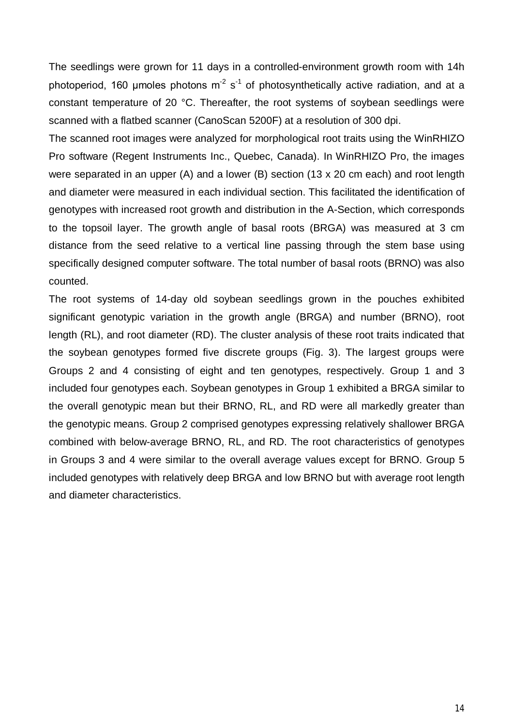The seedlings were grown for 11 days in a controlled-environment growth room with 14h photoperiod, 160 umoles photons  $m^2 s^1$  of photosynthetically active radiation, and at a constant temperature of 20 °C. Thereafter, the root systems of soybean seedlings were scanned with a flatbed scanner (CanoScan 5200F) at a resolution of 300 dpi.

The scanned root images were analyzed for morphological root traits using the WinRHIZO Pro software (Regent Instruments Inc., Quebec, Canada). In WinRHIZO Pro, the images were separated in an upper (A) and a lower (B) section (13 x 20 cm each) and root length and diameter were measured in each individual section. This facilitated the identification of genotypes with increased root growth and distribution in the A-Section, which corresponds to the topsoil layer. The growth angle of basal roots (BRGA) was measured at 3 cm distance from the seed relative to a vertical line passing through the stem base using specifically designed computer software. The total number of basal roots (BRNO) was also counted.

The root systems of 14-day old soybean seedlings grown in the pouches exhibited significant genotypic variation in the growth angle (BRGA) and number (BRNO), root length (RL), and root diameter (RD). The cluster analysis of these root traits indicated that the soybean genotypes formed five discrete groups (Fig. 3). The largest groups were Groups 2 and 4 consisting of eight and ten genotypes, respectively. Group 1 and 3 included four genotypes each. Soybean genotypes in Group 1 exhibited a BRGA similar to the overall genotypic mean but their BRNO, RL, and RD were all markedly greater than the genotypic means. Group 2 comprised genotypes expressing relatively shallower BRGA combined with below-average BRNO, RL, and RD. The root characteristics of genotypes in Groups 3 and 4 were similar to the overall average values except for BRNO. Group 5 included genotypes with relatively deep BRGA and low BRNO but with average root length and diameter characteristics.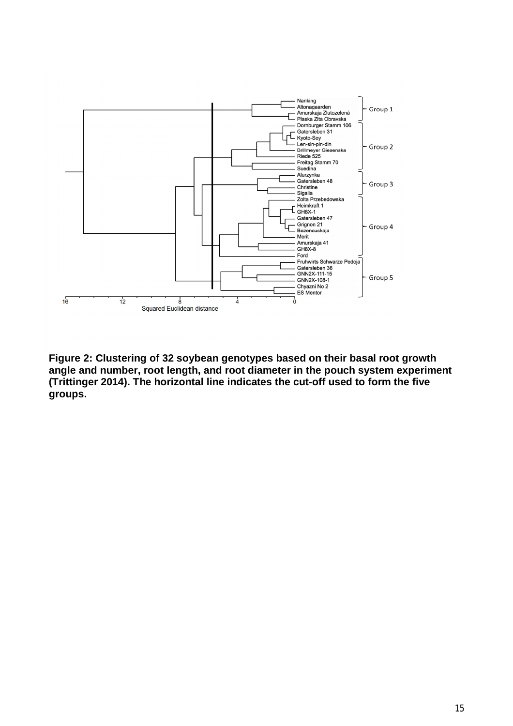

**Figure 2: Clustering of 32 soybean genotypes based on their basal root growth angle and number, root length, and root diameter in the pouch system experiment (Trittinger 2014). The horizontal line indicates the cut-off used to form the five groups.**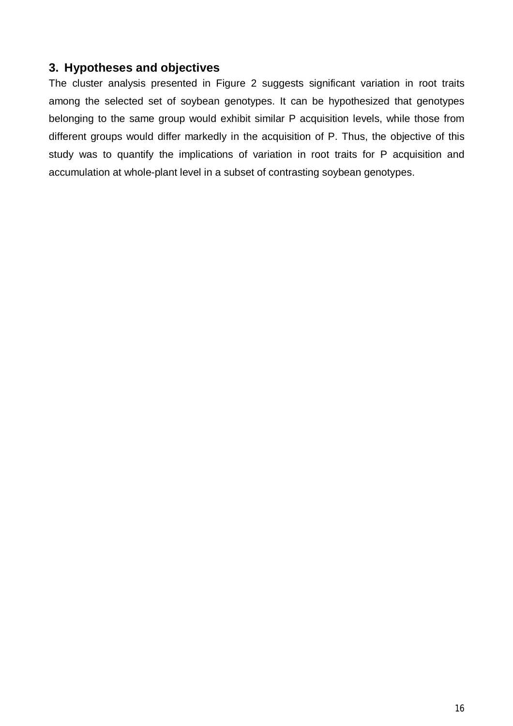## **3. Hypotheses and objectives**

The cluster analysis presented in Figure 2 suggests significant variation in root traits among the selected set of soybean genotypes. It can be hypothesized that genotypes belonging to the same group would exhibit similar P acquisition levels, while those from different groups would differ markedly in the acquisition of P. Thus, the objective of this study was to quantify the implications of variation in root traits for P acquisition and accumulation at whole-plant level in a subset of contrasting soybean genotypes.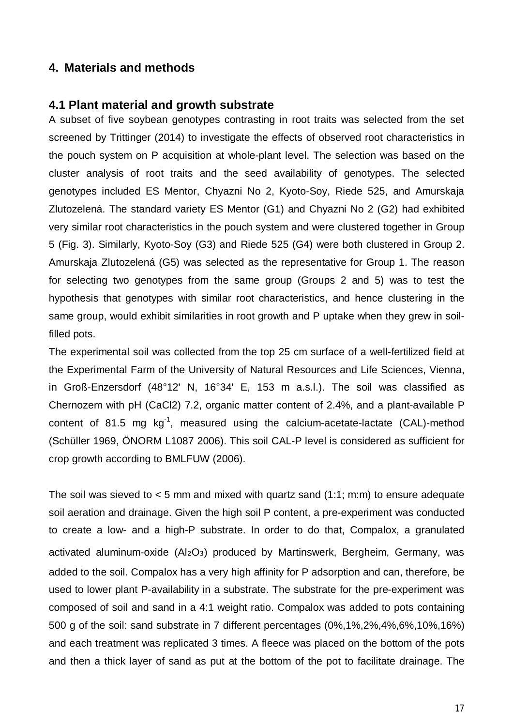#### **4. Materials and methods**

#### **4.1 Plant material and growth substrate**

A subset of five soybean genotypes contrasting in root traits was selected from the set screened by Trittinger (2014) to investigate the effects of observed root characteristics in the pouch system on P acquisition at whole-plant level. The selection was based on the cluster analysis of root traits and the seed availability of genotypes. The selected genotypes included ES Mentor, Chyazni No 2, Kyoto-Soy, Riede 525, and Amurskaja Zlutozelená. The standard variety ES Mentor (G1) and Chyazni No 2 (G2) had exhibited very similar root characteristics in the pouch system and were clustered together in Group 5 (Fig. 3). Similarly, Kyoto-Soy (G3) and Riede 525 (G4) were both clustered in Group 2. Amurskaja Zlutozelená (G5) was selected as the representative for Group 1. The reason for selecting two genotypes from the same group (Groups 2 and 5) was to test the hypothesis that genotypes with similar root characteristics, and hence clustering in the same group, would exhibit similarities in root growth and P uptake when they grew in soilfilled pots.

The experimental soil was collected from the top 25 cm surface of a well-fertilized field at the Experimental Farm of the University of Natural Resources and Life Sciences, Vienna, in Groß-Enzersdorf (48°12' N, 16°34' E, 153 m a.s.l.). The soil was classified as Chernozem with pH (CaCl2) 7.2, organic matter content of 2.4%, and a plant-available P content of 81.5 mg  $kg^{-1}$ , measured using the calcium-acetate-lactate (CAL)-method (Schüller 1969, ÖNORM L1087 2006). This soil CAL-P level is considered as sufficient for crop growth according to BMLFUW (2006).

The soil was sieved to  $<$  5 mm and mixed with quartz sand (1:1; m:m) to ensure adequate soil aeration and drainage. Given the high soil P content, a pre-experiment was conducted to create a low- and a high-P substrate. In order to do that, Compalox, a granulated activated aluminum-oxide (Al2O<sub>3</sub>) produced by Martinswerk, Bergheim, Germany, was added to the soil. Compalox has a very high affinity for P adsorption and can, therefore, be used to lower plant P-availability in a substrate. The substrate for the pre-experiment was composed of soil and sand in a 4:1 weight ratio. Compalox was added to pots containing 500 g of the soil: sand substrate in 7 different percentages (0%,1%,2%,4%,6%,10%,16%) and each treatment was replicated 3 times. A fleece was placed on the bottom of the pots and then a thick layer of sand as put at the bottom of the pot to facilitate drainage. The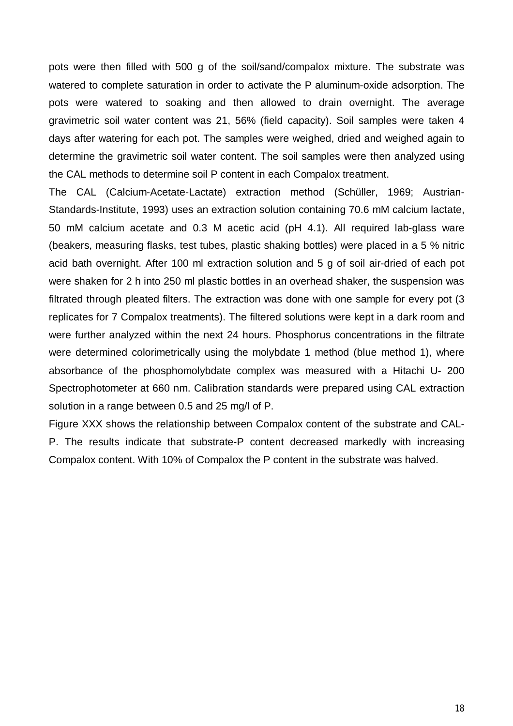pots were then filled with 500 g of the soil/sand/compalox mixture. The substrate was watered to complete saturation in order to activate the P aluminum-oxide adsorption. The pots were watered to soaking and then allowed to drain overnight. The average gravimetric soil water content was 21, 56% (field capacity). Soil samples were taken 4 days after watering for each pot. The samples were weighed, dried and weighed again to determine the gravimetric soil water content. The soil samples were then analyzed using the CAL methods to determine soil P content in each Compalox treatment.

The CAL (Calcium-Acetate-Lactate) extraction method (Schüller, 1969; Austrian-Standards-Institute, 1993) uses an extraction solution containing 70.6 mM calcium lactate, 50 mM calcium acetate and 0.3 M acetic acid (pH 4.1). All required lab-glass ware (beakers, measuring flasks, test tubes, plastic shaking bottles) were placed in a 5 % nitric acid bath overnight. After 100 ml extraction solution and 5 g of soil air-dried of each pot were shaken for 2 h into 250 ml plastic bottles in an overhead shaker, the suspension was filtrated through pleated filters. The extraction was done with one sample for every pot (3 replicates for 7 Compalox treatments). The filtered solutions were kept in a dark room and were further analyzed within the next 24 hours. Phosphorus concentrations in the filtrate were determined colorimetrically using the molybdate 1 method (blue method 1), where absorbance of the phosphomolybdate complex was measured with a Hitachi U- 200 Spectrophotometer at 660 nm. Calibration standards were prepared using CAL extraction solution in a range between 0.5 and 25 mg/l of P.

Figure XXX shows the relationship between Compalox content of the substrate and CAL-P. The results indicate that substrate-P content decreased markedly with increasing Compalox content. With 10% of Compalox the P content in the substrate was halved.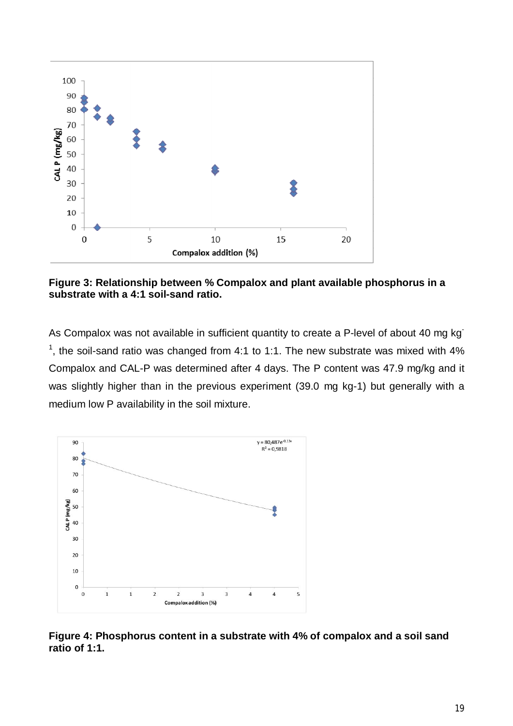

**Figure 3: Relationship between % Compalox and plant available phosphorus in a substrate with a 4:1 soil-sand ratio.** 

As Compalox was not available in sufficient quantity to create a P-level of about 40 mg kg<sup>-</sup> <sup>1</sup>, the soil-sand ratio was changed from 4:1 to 1:1. The new substrate was mixed with 4% Compalox and CAL-P was determined after 4 days. The P content was 47.9 mg/kg and it was slightly higher than in the previous experiment (39.0 mg kg-1) but generally with a medium low P availability in the soil mixture.



**Figure 4: Phosphorus content in a substrate with 4% of compalox and a soil sand ratio of 1:1.**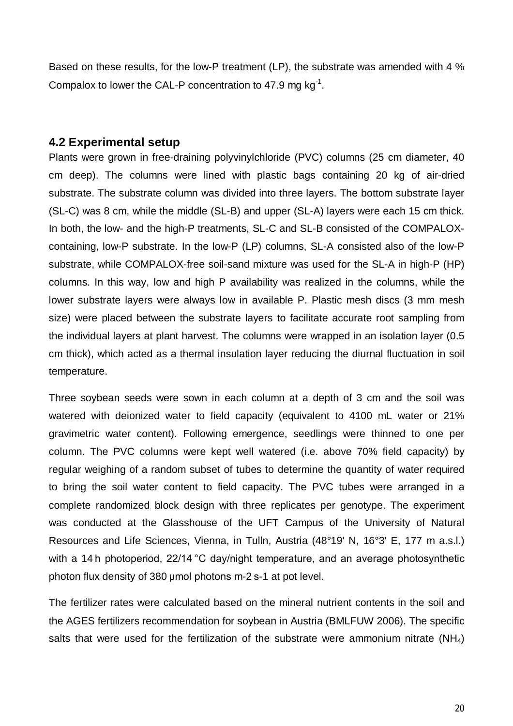Based on these results, for the low-P treatment (LP), the substrate was amended with 4 % Compalox to lower the CAL-P concentration to 47.9 mg  $kg^{-1}$ .

#### **4.2 Experimental setup**

Plants were grown in free-draining polyvinylchloride (PVC) columns (25 cm diameter, 40 cm deep). The columns were lined with plastic bags containing 20 kg of air-dried substrate. The substrate column was divided into three layers. The bottom substrate layer (SL-C) was 8 cm, while the middle (SL-B) and upper (SL-A) layers were each 15 cm thick. In both, the low- and the high-P treatments, SL-C and SL-B consisted of the COMPALOXcontaining, low-P substrate. In the low-P (LP) columns, SL-A consisted also of the low-P substrate, while COMPALOX-free soil-sand mixture was used for the SL-A in high-P (HP) columns. In this way, low and high P availability was realized in the columns, while the lower substrate layers were always low in available P. Plastic mesh discs (3 mm mesh size) were placed between the substrate layers to facilitate accurate root sampling from the individual layers at plant harvest. The columns were wrapped in an isolation layer (0.5 cm thick), which acted as a thermal insulation layer reducing the diurnal fluctuation in soil temperature.

Three soybean seeds were sown in each column at a depth of 3 cm and the soil was watered with deionized water to field capacity (equivalent to 4100 mL water or 21% gravimetric water content). Following emergence, seedlings were thinned to one per column. The PVC columns were kept well watered (i.e. above 70% field capacity) by regular weighing of a random subset of tubes to determine the quantity of water required to bring the soil water content to field capacity. The PVC tubes were arranged in a complete randomized block design with three replicates per genotype. The experiment was conducted at the Glasshouse of the UFT Campus of the University of Natural Resources and Life Sciences, Vienna, in Tulln, Austria (48°19' N, 16°3' E, 177 m a.s.l.) with a 14<sup>h</sup> photoperiod, 22/14 °C day/night temperature, and an average photosynthetic photon flux density of 380 μmol photons m-2 s-1 at pot level.

The fertilizer rates were calculated based on the mineral nutrient contents in the soil and the AGES fertilizers recommendation for soybean in Austria (BMLFUW 2006). The specific salts that were used for the fertilization of the substrate were ammonium nitrate  $(NH_4)$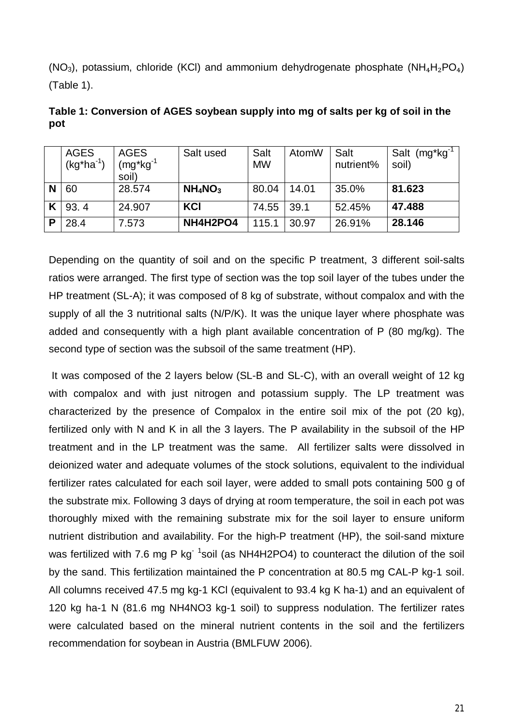(NO<sub>3</sub>), potassium, chloride (KCI) and ammonium dehydrogenate phosphate (NH<sub>4</sub>H<sub>2</sub>PO<sub>4</sub>) (Table 1).

|   | <b>AGES</b><br>$(kg*ha-1)$ | <b>AGES</b><br>$(mg^*kg^{-1})$<br>soil) | Salt used  | Salt<br><b>MW</b> | AtomW | Salt<br>nutrient% | Salt (mg*kg <sup>-1</sup><br>soil) |
|---|----------------------------|-----------------------------------------|------------|-------------------|-------|-------------------|------------------------------------|
|   | 60                         | 28.574                                  | $NH_4NO_3$ | 80.04             | 14.01 | 35.0%             | 81.623                             |
|   | 93.4                       | 24.907                                  | <b>KCI</b> | 74.55             | 39.1  | 52.45%            | 47.488                             |
| P | 28.4                       | 7.573                                   | NH4H2PO4   | 115.1             | 30.97 | 26.91%            | 28.146                             |

**Table 1: Conversion of AGES soybean supply into mg of salts per kg of soil in the pot** 

Depending on the quantity of soil and on the specific P treatment, 3 different soil-salts ratios were arranged. The first type of section was the top soil layer of the tubes under the HP treatment (SL-A); it was composed of 8 kg of substrate, without compalox and with the supply of all the 3 nutritional salts (N/P/K). It was the unique layer where phosphate was added and consequently with a high plant available concentration of P (80 mg/kg). The second type of section was the subsoil of the same treatment (HP).

 It was composed of the 2 layers below (SL-B and SL-C), with an overall weight of 12 kg with compalox and with just nitrogen and potassium supply. The LP treatment was characterized by the presence of Compalox in the entire soil mix of the pot (20 kg), fertilized only with N and K in all the 3 layers. The P availability in the subsoil of the HP treatment and in the LP treatment was the same. All fertilizer salts were dissolved in deionized water and adequate volumes of the stock solutions, equivalent to the individual fertilizer rates calculated for each soil layer, were added to small pots containing 500 g of the substrate mix. Following 3 days of drying at room temperature, the soil in each pot was thoroughly mixed with the remaining substrate mix for the soil layer to ensure uniform nutrient distribution and availability. For the high-P treatment (HP), the soil-sand mixture was fertilized with 7.6 mg P kg<sup>- 1</sup>soil (as NH4H2PO4) to counteract the dilution of the soil by the sand. This fertilization maintained the P concentration at 80.5 mg CAL-P kg-1 soil. All columns received 47.5 mg kg-1 KCl (equivalent to 93.4 kg K ha-1) and an equivalent of 120 kg ha-1 N (81.6 mg NH4NO3 kg-1 soil) to suppress nodulation. The fertilizer rates were calculated based on the mineral nutrient contents in the soil and the fertilizers recommendation for soybean in Austria (BMLFUW 2006).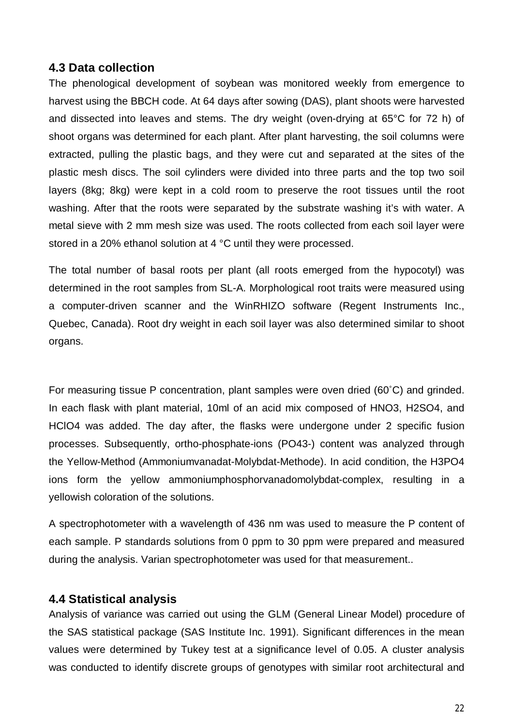## **4.3 Data collection**

The phenological development of soybean was monitored weekly from emergence to harvest using the BBCH code. At 64 days after sowing (DAS), plant shoots were harvested and dissected into leaves and stems. The dry weight (oven-drying at 65°C for 72 h) of shoot organs was determined for each plant. After plant harvesting, the soil columns were extracted, pulling the plastic bags, and they were cut and separated at the sites of the plastic mesh discs. The soil cylinders were divided into three parts and the top two soil layers (8kg; 8kg) were kept in a cold room to preserve the root tissues until the root washing. After that the roots were separated by the substrate washing it's with water. A metal sieve with 2 mm mesh size was used. The roots collected from each soil layer were stored in a 20% ethanol solution at 4 °C until they were processed.

The total number of basal roots per plant (all roots emerged from the hypocotyl) was determined in the root samples from SL-A. Morphological root traits were measured using a computer-driven scanner and the WinRHIZO software (Regent Instruments Inc., Quebec, Canada). Root dry weight in each soil layer was also determined similar to shoot organs.

For measuring tissue P concentration, plant samples were oven dried (60˚C) and grinded. In each flask with plant material, 10ml of an acid mix composed of HNO3, H2SO4, and HClO4 was added. The day after, the flasks were undergone under 2 specific fusion processes. Subsequently, ortho-phosphate-ions (PO43-) content was analyzed through the Yellow-Method (Ammoniumvanadat-Molybdat-Methode). In acid condition, the H3PO4 ions form the yellow ammoniumphosphorvanadomolybdat-complex, resulting in a yellowish coloration of the solutions.

A spectrophotometer with a wavelength of 436 nm was used to measure the P content of each sample. P standards solutions from 0 ppm to 30 ppm were prepared and measured during the analysis. Varian spectrophotometer was used for that measurement..

## **4.4 Statistical analysis**

Analysis of variance was carried out using the GLM (General Linear Model) procedure of the SAS statistical package (SAS Institute Inc. 1991). Significant differences in the mean values were determined by Tukey test at a significance level of 0.05. A cluster analysis was conducted to identify discrete groups of genotypes with similar root architectural and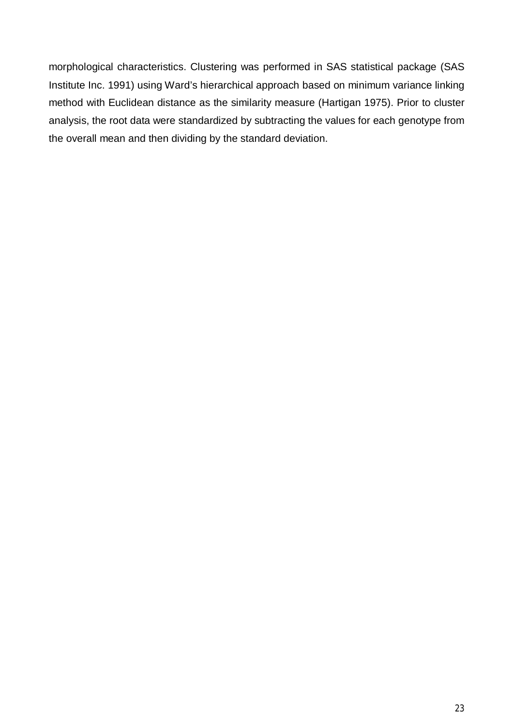morphological characteristics. Clustering was performed in SAS statistical package (SAS Institute Inc. 1991) using Ward's hierarchical approach based on minimum variance linking method with Euclidean distance as the similarity measure (Hartigan 1975). Prior to cluster analysis, the root data were standardized by subtracting the values for each genotype from the overall mean and then dividing by the standard deviation.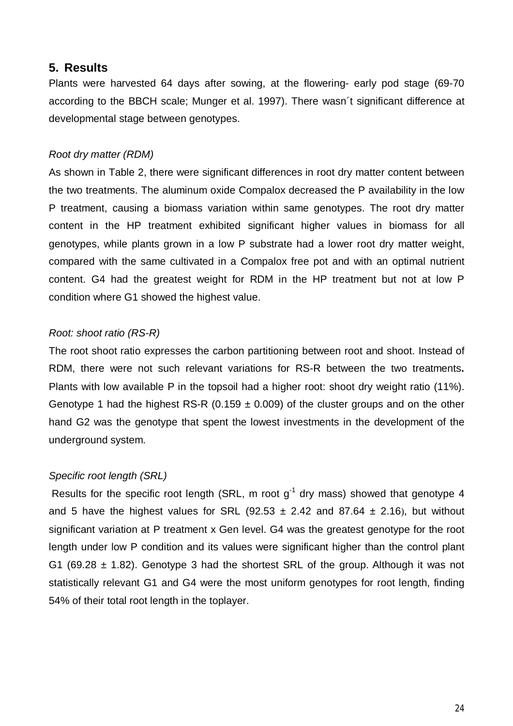#### **5. Results**

Plants were harvested 64 days after sowing, at the flowering- early pod stage (69-70 according to the BBCH scale; Munger et al. 1997). There wasn´t significant difference at developmental stage between genotypes.

#### *Root dry matter (RDM)*

As shown in Table 2, there were significant differences in root dry matter content between the two treatments. The aluminum oxide Compalox decreased the P availability in the low P treatment, causing a biomass variation within same genotypes. The root dry matter content in the HP treatment exhibited significant higher values in biomass for all genotypes, while plants grown in a low P substrate had a lower root dry matter weight, compared with the same cultivated in a Compalox free pot and with an optimal nutrient content. G4 had the greatest weight for RDM in the HP treatment but not at low P condition where G1 showed the highest value.

#### *Root: shoot ratio (RS-R)*

The root shoot ratio expresses the carbon partitioning between root and shoot. Instead of RDM, there were not such relevant variations for RS-R between the two treatments**.** Plants with low available P in the topsoil had a higher root: shoot dry weight ratio (11%). Genotype 1 had the highest RS-R (0.159  $\pm$  0.009) of the cluster groups and on the other hand G2 was the genotype that spent the lowest investments in the development of the underground system.

## *Specific root length (SRL)*

Results for the specific root length (SRL, m root  $g^{-1}$  dry mass) showed that genotype 4 and 5 have the highest values for SRL (92.53  $\pm$  2.42 and 87.64  $\pm$  2.16), but without significant variation at P treatment x Gen level. G4 was the greatest genotype for the root length under low P condition and its values were significant higher than the control plant G1 (69.28  $\pm$  1.82). Genotype 3 had the shortest SRL of the group. Although it was not statistically relevant G1 and G4 were the most uniform genotypes for root length, finding 54% of their total root length in the toplayer.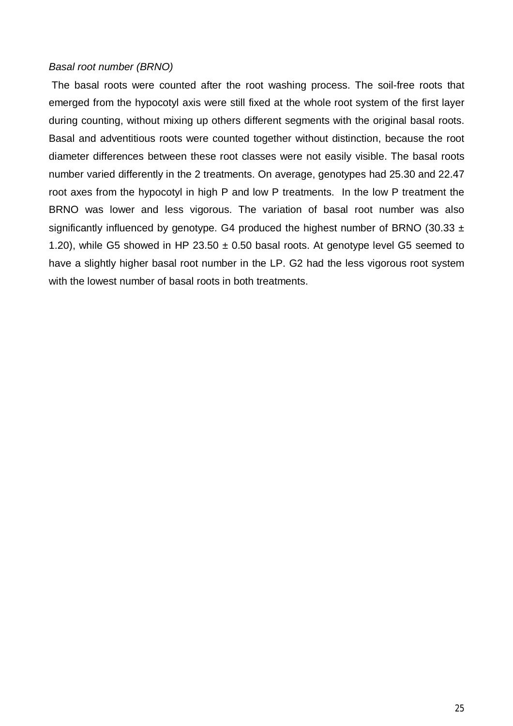#### *Basal root number (BRNO)*

 The basal roots were counted after the root washing process. The soil-free roots that emerged from the hypocotyl axis were still fixed at the whole root system of the first layer during counting, without mixing up others different segments with the original basal roots. Basal and adventitious roots were counted together without distinction, because the root diameter differences between these root classes were not easily visible. The basal roots number varied differently in the 2 treatments. On average, genotypes had 25.30 and 22.47 root axes from the hypocotyl in high P and low P treatments. In the low P treatment the BRNO was lower and less vigorous. The variation of basal root number was also significantly influenced by genotype. G4 produced the highest number of BRNO (30.33  $\pm$ 1.20), while G5 showed in HP 23.50  $\pm$  0.50 basal roots. At genotype level G5 seemed to have a slightly higher basal root number in the LP. G2 had the less vigorous root system with the lowest number of basal roots in both treatments.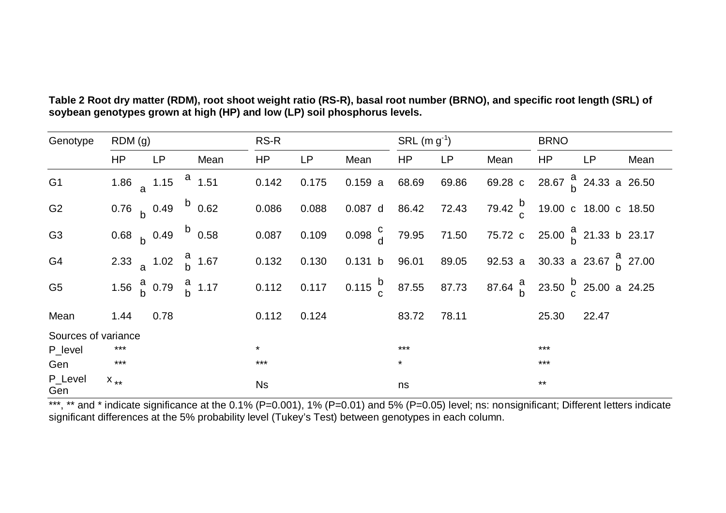| Genotype            | RDM(q)                 |                                             |      | RS-R      |       |                                                       | SRL $(m g^{-1})$ |           |                                                                                       | <b>BRNO</b> |           |      |
|---------------------|------------------------|---------------------------------------------|------|-----------|-------|-------------------------------------------------------|------------------|-----------|---------------------------------------------------------------------------------------|-------------|-----------|------|
|                     | HP                     | <b>LP</b>                                   | Mean | <b>HP</b> | LP    | Mean                                                  | <b>HP</b>        | <b>LP</b> | Mean                                                                                  | <b>HP</b>   | <b>LP</b> | Mean |
| G <sub>1</sub>      |                        | 1.86 $\frac{1.15}{9}$ 1.15 $\frac{a}{1.51}$ |      | 0.142     | 0.175 | 0.159a                                                | 68.69            | 69.86     | 69.28 c 28.67 $\frac{a}{b}$ 24.33 a 26.50                                             |             |           |      |
| G <sub>2</sub>      | 0.76 $b$ 0.49 $b$ 0.62 |                                             |      | 0.086     | 0.088 | 0.087 d 86.42                                         |                  | 72.43     | 79.42 $\frac{b}{c}$ 19.00 c 18.00 c 18.50                                             |             |           |      |
| G <sub>3</sub>      | 0.68 $b$ 0.49 $b$ 0.58 |                                             |      | 0.087     | 0.109 | $0.098 \begin{matrix} 0 & 79.95 & 71.50 \end{matrix}$ |                  |           | 75.72 c 25.00 $\frac{a}{b}$ 21.33 b 23.17                                             |             |           |      |
| G4                  |                        | 2.33 a 1.02 $\frac{a}{b}$ 1.67              |      | 0.132     | 0.130 | 0.131 b                                               | 96.01            | 89.05     | 92.53 a 30.33 a 23.67 $\frac{a}{b}$ 27.00                                             |             |           |      |
| G <sub>5</sub>      |                        | 1.56 $\frac{a}{b}$ 0.79 $\frac{a}{b}$ 1.17  |      | 0.112     | 0.117 |                                                       |                  |           | 0.115 $\frac{b}{c}$ 87.55 87.73 87.64 $\frac{a}{b}$ 23.50 $\frac{b}{c}$ 25.00 a 24.25 |             |           |      |
| Mean                | 1.44                   | 0.78                                        |      | 0.112     | 0.124 |                                                       | 83.72            | 78.11     |                                                                                       | 25.30       | 22.47     |      |
| Sources of variance |                        |                                             |      |           |       |                                                       |                  |           |                                                                                       |             |           |      |
| P_level             | $***$                  |                                             |      | $\star$   |       |                                                       | $***$            |           |                                                                                       | $***$       |           |      |
| Gen                 | $***$                  |                                             |      | $***$     |       |                                                       | $\star$          |           |                                                                                       | $***$       |           |      |
| P_Level<br>Gen      | $X_{**}$               |                                             |      | <b>Ns</b> |       |                                                       | ns               |           |                                                                                       | $***$       |           |      |

**Table 2 Root dry matter (RDM), root shoot weight ratio (RS-R), basal root number (BRNO), and specific root length (SRL) of soybean genotypes grown at high (HP) and low (LP) soil phosphorus levels.** 

\*\*\*, \*\* and \* indicate significance at the 0.1% (P=0.001), 1% (P=0.01) and 5% (P=0.05) level; ns: nonsignificant; Different letters indicate significant differences at the 5% probability level (Tukey's Test) between genotypes in each column.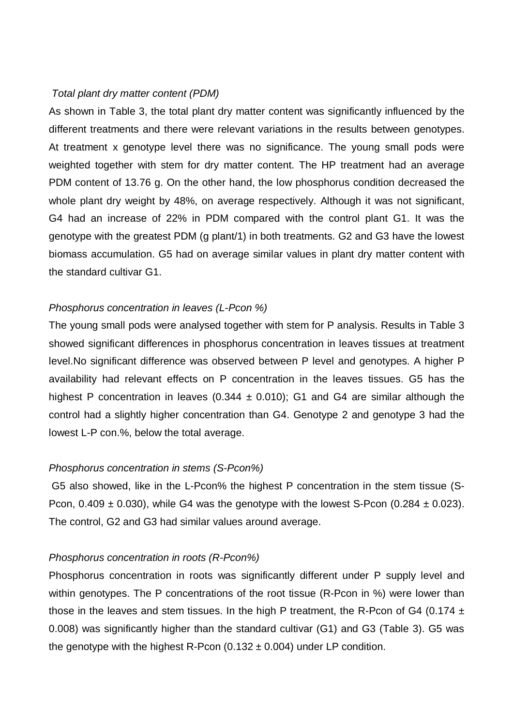#### *Total plant dry matter content (PDM)*

As shown in Table 3, the total plant dry matter content was significantly influenced by the different treatments and there were relevant variations in the results between genotypes. At treatment x genotype level there was no significance. The young small pods were weighted together with stem for dry matter content. The HP treatment had an average PDM content of 13.76 g. On the other hand, the low phosphorus condition decreased the whole plant dry weight by 48%, on average respectively. Although it was not significant, G4 had an increase of 22% in PDM compared with the control plant G1. It was the genotype with the greatest PDM (g plant/1) in both treatments. G2 and G3 have the lowest biomass accumulation. G5 had on average similar values in plant dry matter content with the standard cultivar G1.

#### *Phosphorus concentration in leaves (L-Pcon %)*

The young small pods were analysed together with stem for P analysis. Results in Table 3 showed significant differences in phosphorus concentration in leaves tissues at treatment level.No significant difference was observed between P level and genotypes. A higher P availability had relevant effects on P concentration in the leaves tissues. G5 has the highest P concentration in leaves (0.344  $\pm$  0.010); G1 and G4 are similar although the control had a slightly higher concentration than G4. Genotype 2 and genotype 3 had the lowest L-P con.%, below the total average.

#### *Phosphorus concentration in stems (S-Pcon%)*

 G5 also showed, like in the L-Pcon% the highest P concentration in the stem tissue (S-Pcon,  $0.409 \pm 0.030$ , while G4 was the genotype with the lowest S-Pcon (0.284  $\pm$  0.023). The control, G2 and G3 had similar values around average.

#### *Phosphorus concentration in roots (R-Pcon%)*

Phosphorus concentration in roots was significantly different under P supply level and within genotypes. The P concentrations of the root tissue (R-Pcon in %) were lower than those in the leaves and stem tissues. In the high P treatment, the R-Pcon of G4 (0.174  $\pm$ 0.008) was significantly higher than the standard cultivar (G1) and G3 (Table 3). G5 was the genotype with the highest R-Pcon  $(0.132 \pm 0.004)$  under LP condition.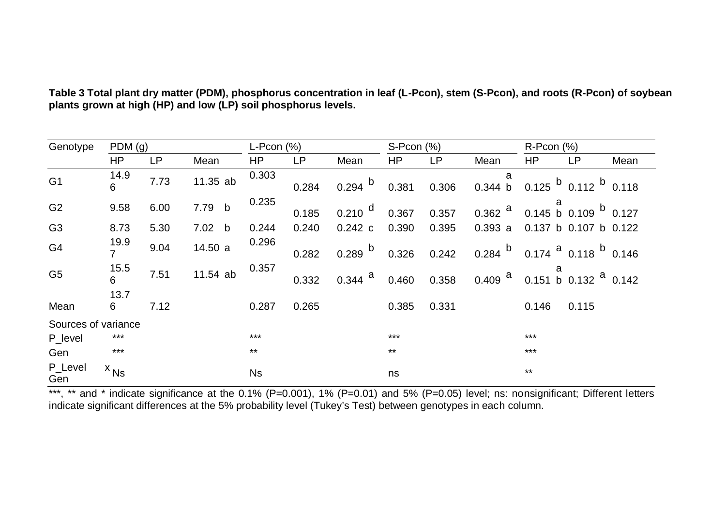| Genotype            | PDM(g)      |      |          | $L$ -Pcon $(%)$ |           | $S- Pcon (% )$          |       |       | $R$ -Pcon $(%)$                                                        |       |                                                                                       |      |
|---------------------|-------------|------|----------|-----------------|-----------|-------------------------|-------|-------|------------------------------------------------------------------------|-------|---------------------------------------------------------------------------------------|------|
|                     | HP          | LP   | Mean     | HP              | <b>LP</b> | Mean                    | HP    | LP    | Mean                                                                   | HP    | LP                                                                                    | Mean |
| G <sub>1</sub>      | $14.9$<br>6 | 7.73 | 11.35 ab | 0.303           | 0.284     | $0.294$ $^{\circ}$      | 0.381 | 0.306 | a<br>0.344 b                                                           |       | 0.125 $^{\text{b}}$ 0.112 $^{\text{b}}$ 0.118                                         |      |
| G <sub>2</sub>      | 9.58        | 6.00 | 7.79 b   | 0.235           | 0.185     | $0.210$ $^{\sf d}$      | 0.367 | 0.357 | $0.362$ <sup>a</sup>                                                   |       | $\begin{array}{c} a \\ 0.145 \text{ b} \quad 0.109 \text{ b} \quad 0.127 \end{array}$ |      |
| G <sub>3</sub>      | 8.73        | 5.30 | 7.02 b   | 0.244           | 0.240     | 0.242c                  | 0.390 | 0.395 | 0.393a                                                                 |       | 0.137 b 0.107 b 0.122                                                                 |      |
| G4                  | 19.9<br>7   | 9.04 | 14.50 a  | 0.296           | 0.282     | $0.289$ $^{\mathrm{b}}$ | 0.326 | 0.242 | $0.284$ $\overline{b}$ 0.174 $\overline{a}$ 0.118 $\overline{b}$ 0.146 |       |                                                                                       |      |
| G <sub>5</sub>      | 15.5<br>6   | 7.51 | 11.54 ab | 0.357           | 0.332     | $0.344$ <sup>a</sup>    | 0.460 | 0.358 | a<br>0.409 <sup>a</sup> 0.151 b 0.132 <sup>a</sup> 0.142               |       |                                                                                       |      |
| Mean                | 13.7<br>6   | 7.12 |          | 0.287           | 0.265     |                         | 0.385 | 0.331 |                                                                        | 0.146 | 0.115                                                                                 |      |
| Sources of variance |             |      |          |                 |           |                         |       |       |                                                                        |       |                                                                                       |      |
| P_level             | $***$       |      |          | $***$           |           |                         | $***$ |       |                                                                        | $***$ |                                                                                       |      |
| Gen                 | $***$       |      |          | $***$           |           |                         | $***$ |       |                                                                        | $***$ |                                                                                       |      |
| P_Level<br>Gen      | $x_{Ns}$    |      |          | <b>Ns</b>       |           |                         | ns    |       |                                                                        | $***$ |                                                                                       |      |

**Table 3 Total plant dry matter (PDM), phosphorus concentration in leaf (L-Pcon), stem (S-Pcon), and roots (R-Pcon) of soybean plants grown at high (HP) and low (LP) soil phosphorus levels.** 

\*\*\*, \*\* and \* indicate significance at the 0.1% (P=0.001), 1% (P=0.01) and 5% (P=0.05) level; ns: nonsignificant; Different letters indicate significant differences at the 5% probability level (Tukey's Test) between genotypes in each column.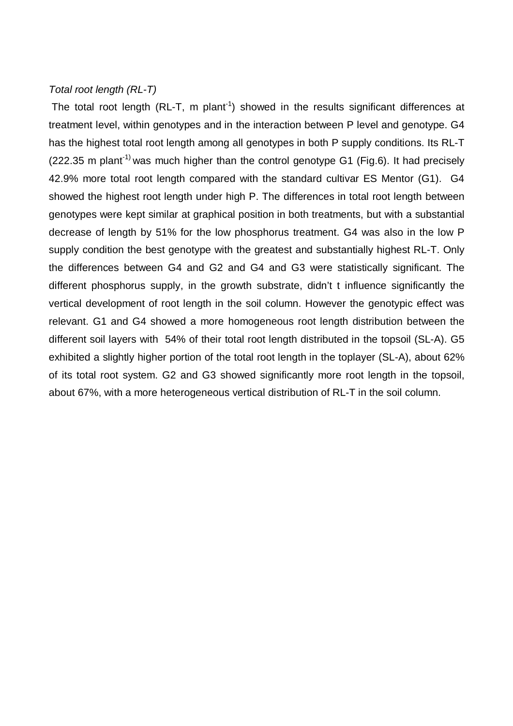#### *Total root length (RL-T)*

The total root length (RL-T, m plant<sup>-1</sup>) showed in the results significant differences at treatment level, within genotypes and in the interaction between P level and genotype. G4 has the highest total root length among all genotypes in both P supply conditions. Its RL-T (222.35 m plant<sup>-1)</sup> was much higher than the control genotype G1 (Fig.6). It had precisely 42.9% more total root length compared with the standard cultivar ES Mentor (G1). G4 showed the highest root length under high P. The differences in total root length between genotypes were kept similar at graphical position in both treatments, but with a substantial decrease of length by 51% for the low phosphorus treatment. G4 was also in the low P supply condition the best genotype with the greatest and substantially highest RL-T. Only the differences between G4 and G2 and G4 and G3 were statistically significant. The different phosphorus supply, in the growth substrate, didn't t influence significantly the vertical development of root length in the soil column. However the genotypic effect was relevant. G1 and G4 showed a more homogeneous root length distribution between the different soil layers with 54% of their total root length distributed in the topsoil (SL-A). G5 exhibited a slightly higher portion of the total root length in the toplayer (SL-A), about 62% of its total root system. G2 and G3 showed significantly more root length in the topsoil, about 67%, with a more heterogeneous vertical distribution of RL-T in the soil column.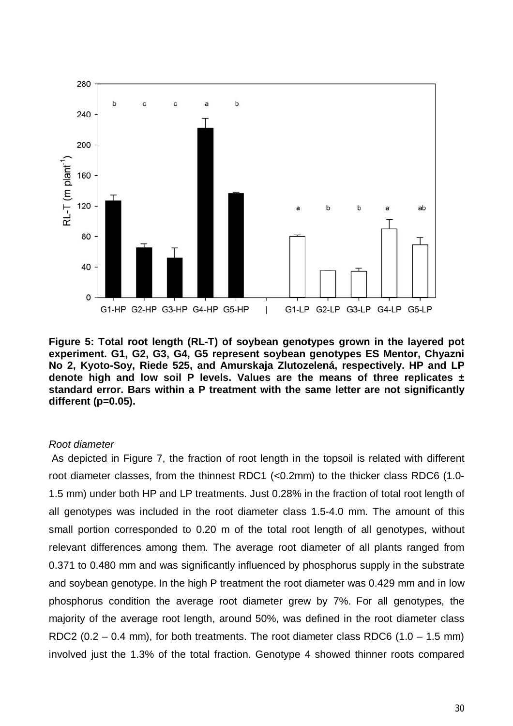

**Figure 5: Total root length (RL-T) of soybean genotypes grown in the layered pot experiment. G1, G2, G3, G4, G5 represent soybean genotypes ES Mentor, Chyazni No 2, Kyoto-Soy, Riede 525, and Amurskaja Zlutozelená, respectively. HP and LP denote high and low soil P levels. Values are the means of three replicates ± standard error. Bars within a P treatment with the same letter are not significantly different (p=0.05).** 

#### *Root diameter*

 As depicted in Figure 7, the fraction of root length in the topsoil is related with different root diameter classes, from the thinnest RDC1 (<0.2mm) to the thicker class RDC6 (1.0- 1.5 mm) under both HP and LP treatments. Just 0.28% in the fraction of total root length of all genotypes was included in the root diameter class 1.5-4.0 mm. The amount of this small portion corresponded to 0.20 m of the total root length of all genotypes, without relevant differences among them. The average root diameter of all plants ranged from 0.371 to 0.480 mm and was significantly influenced by phosphorus supply in the substrate and soybean genotype. In the high P treatment the root diameter was 0.429 mm and in low phosphorus condition the average root diameter grew by 7%. For all genotypes, the majority of the average root length, around 50%, was defined in the root diameter class RDC2  $(0.2 - 0.4$  mm), for both treatments. The root diameter class RDC6  $(1.0 - 1.5$  mm) involved just the 1.3% of the total fraction. Genotype 4 showed thinner roots compared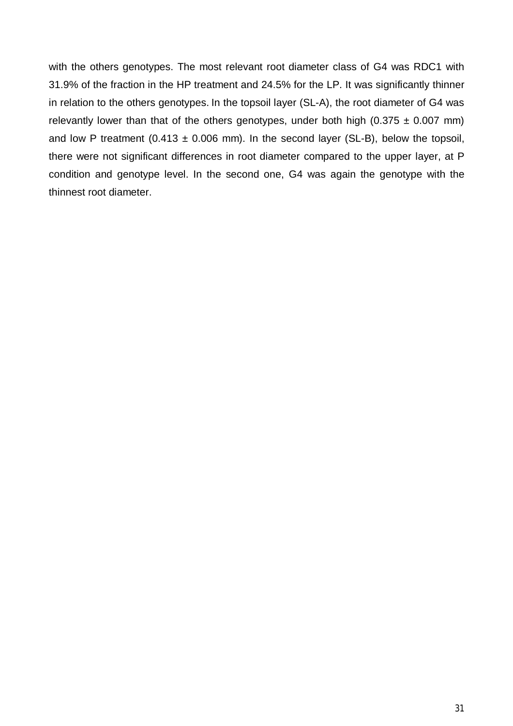with the others genotypes. The most relevant root diameter class of G4 was RDC1 with 31.9% of the fraction in the HP treatment and 24.5% for the LP. It was significantly thinner in relation to the others genotypes. In the topsoil layer (SL-A), the root diameter of G4 was relevantly lower than that of the others genotypes, under both high (0.375  $\pm$  0.007 mm) and low P treatment (0.413  $\pm$  0.006 mm). In the second layer (SL-B), below the topsoil, there were not significant differences in root diameter compared to the upper layer, at P condition and genotype level. In the second one, G4 was again the genotype with the thinnest root diameter.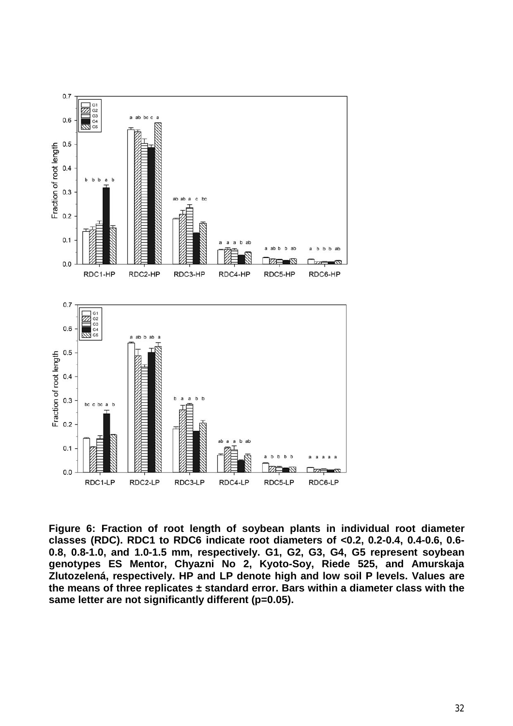

**Figure 6: Fraction of root length of soybean plants in individual root diameter classes (RDC). RDC1 to RDC6 indicate root diameters of <0.2, 0.2-0.4, 0.4-0.6, 0.6- 0.8, 0.8-1.0, and 1.0-1.5 mm, respectively. G1, G2, G3, G4, G5 represent soybean genotypes ES Mentor, Chyazni No 2, Kyoto-Soy, Riede 525, and Amurskaja Zlutozelená, respectively. HP and LP denote high and low soil P levels. Values are the means of three replicates ± standard error. Bars within a diameter class with the same letter are not significantly different (p=0.05).**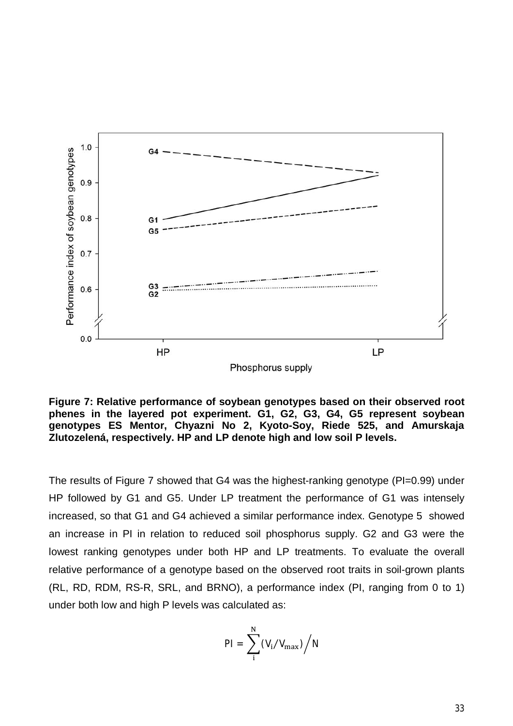

**Figure 7: Relative performance of soybean genotypes based on their observed root phenes in the layered pot experiment. G1, G2, G3, G4, G5 represent soybean genotypes ES Mentor, Chyazni No 2, Kyoto-Soy, Riede 525, and Amurskaja Zlutozelená, respectively. HP and LP denote high and low soil P levels.** 

The results of Figure 7 showed that G4 was the highest-ranking genotype (PI=0.99) under HP followed by G1 and G5. Under LP treatment the performance of G1 was intensely increased, so that G1 and G4 achieved a similar performance index. Genotype 5 showed an increase in PI in relation to reduced soil phosphorus supply. G2 and G3 were the lowest ranking genotypes under both HP and LP treatments. To evaluate the overall relative performance of a genotype based on the observed root traits in soil-grown plants (RL, RD, RDM, RS-R, SRL, and BRNO), a performance index (PI, ranging from 0 to 1) under both low and high P levels was calculated as:

$$
PI = \sum_i^N (V_i / V_{max}) / N
$$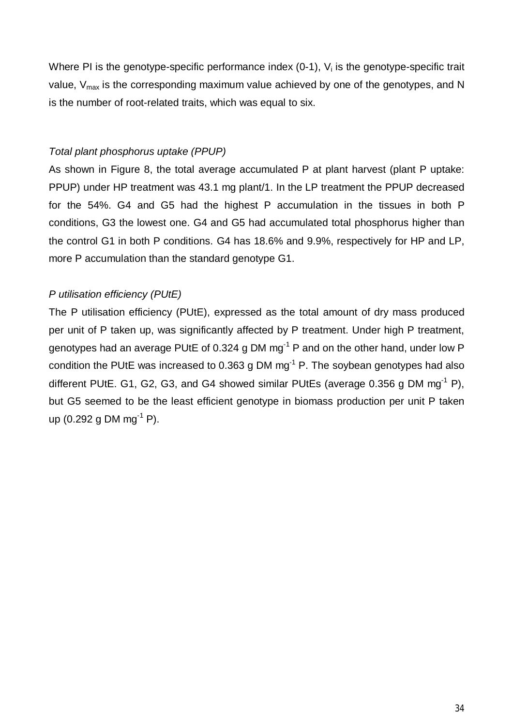Where PI is the genotype-specific performance index  $(0-1)$ ,  $V_i$  is the genotype-specific trait value,  $V_{\text{max}}$  is the corresponding maximum value achieved by one of the genotypes, and N is the number of root-related traits, which was equal to six.

#### *Total plant phosphorus uptake (PPUP)*

As shown in Figure 8, the total average accumulated P at plant harvest (plant P uptake: PPUP) under HP treatment was 43.1 mg plant/1. In the LP treatment the PPUP decreased for the 54%. G4 and G5 had the highest P accumulation in the tissues in both P conditions, G3 the lowest one. G4 and G5 had accumulated total phosphorus higher than the control G1 in both P conditions. G4 has 18.6% and 9.9%, respectively for HP and LP, more P accumulation than the standard genotype G1.

## *P utilisation efficiency (PUtE)*

The P utilisation efficiency (PUtE), expressed as the total amount of dry mass produced per unit of P taken up, was significantly affected by P treatment. Under high P treatment, genotypes had an average PUtE of 0.324 g DM  $mg^{-1}$  P and on the other hand, under low P condition the PUtE was increased to 0.363 g DM  $mg<sup>-1</sup>$  P. The soybean genotypes had also different PUtE. G1, G2, G3, and G4 showed similar PUtEs (average  $0.356$  g DM mg<sup>-1</sup> P), but G5 seemed to be the least efficient genotype in biomass production per unit P taken up  $(0.292 \text{ g }$  DM mg<sup>-1</sup> P).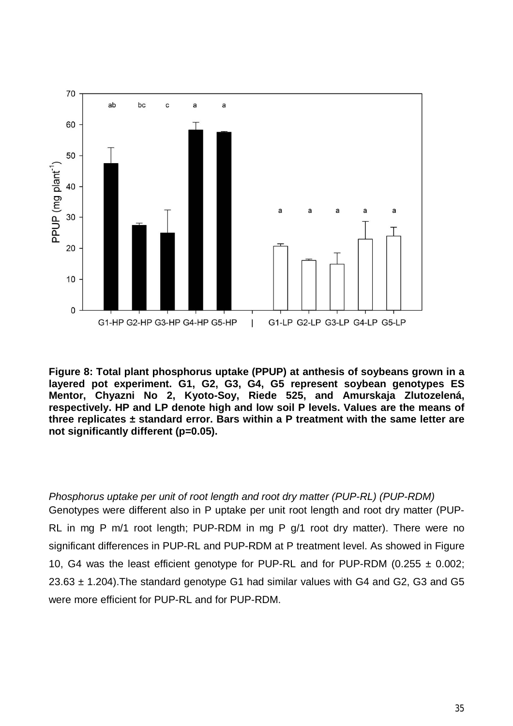

**Figure 8: Total plant phosphorus uptake (PPUP) at anthesis of soybeans grown in a layered pot experiment. G1, G2, G3, G4, G5 represent soybean genotypes ES Mentor, Chyazni No 2, Kyoto-Soy, Riede 525, and Amurskaja Zlutozelená, respectively. HP and LP denote high and low soil P levels. Values are the means of three replicates ± standard error. Bars within a P treatment with the same letter are not significantly different (p=0.05).** 

*Phosphorus uptake per unit of root length and root dry matter (PUP-RL) (PUP-RDM)* Genotypes were different also in P uptake per unit root length and root dry matter (PUP-RL in mg P m/1 root length; PUP-RDM in mg P g/1 root dry matter). There were no significant differences in PUP-RL and PUP-RDM at P treatment level. As showed in Figure 10, G4 was the least efficient genotype for PUP-RL and for PUP-RDM (0.255  $\pm$  0.002;  $23.63 \pm 1.204$ ). The standard genotype G1 had similar values with G4 and G2, G3 and G5 were more efficient for PUP-RL and for PUP-RDM.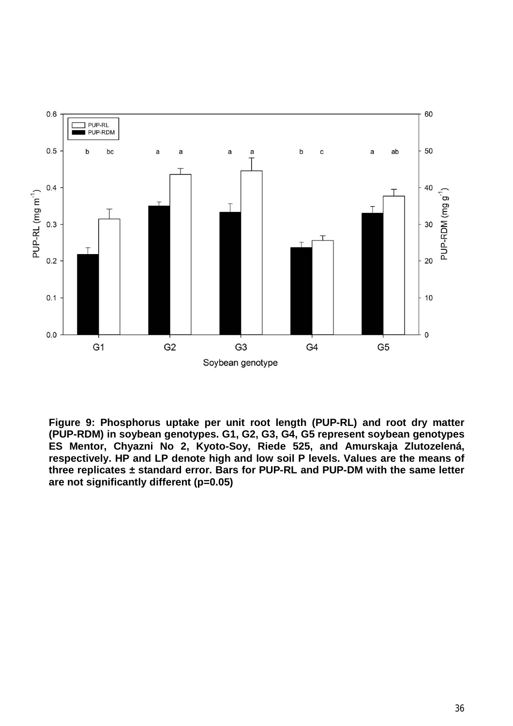

**Figure 9: Phosphorus uptake per unit root length (PUP-RL) and root dry matter (PUP-RDM) in soybean genotypes. G1, G2, G3, G4, G5 represent soybean genotypes ES Mentor, Chyazni No 2, Kyoto-Soy, Riede 525, and Amurskaja Zlutozelená, respectively. HP and LP denote high and low soil P levels. Values are the means of three replicates ± standard error. Bars for PUP-RL and PUP-DM with the same letter are not significantly different (p=0.05)**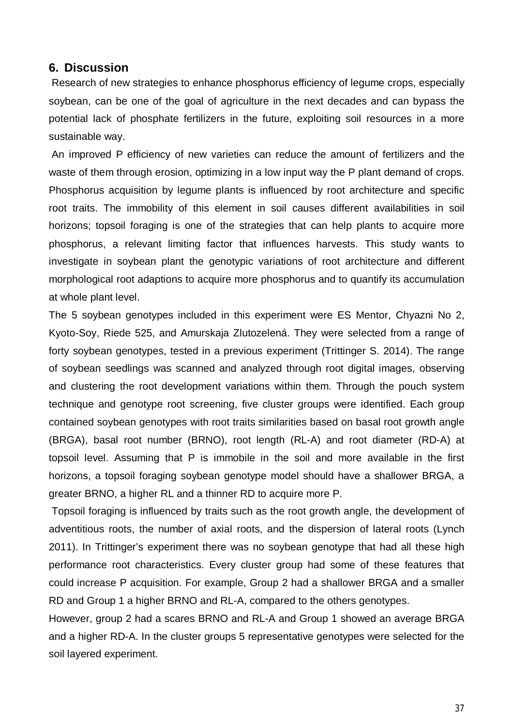#### **6. Discussion**

 Research of new strategies to enhance phosphorus efficiency of legume crops, especially soybean, can be one of the goal of agriculture in the next decades and can bypass the potential lack of phosphate fertilizers in the future, exploiting soil resources in a more sustainable way.

 An improved P efficiency of new varieties can reduce the amount of fertilizers and the waste of them through erosion, optimizing in a low input way the P plant demand of crops. Phosphorus acquisition by legume plants is influenced by root architecture and specific root traits. The immobility of this element in soil causes different availabilities in soil horizons; topsoil foraging is one of the strategies that can help plants to acquire more phosphorus, a relevant limiting factor that influences harvests. This study wants to investigate in soybean plant the genotypic variations of root architecture and different morphological root adaptions to acquire more phosphorus and to quantify its accumulation at whole plant level.

The 5 soybean genotypes included in this experiment were ES Mentor, Chyazni No 2, Kyoto-Soy, Riede 525, and Amurskaja Zlutozelená. They were selected from a range of forty soybean genotypes, tested in a previous experiment (Trittinger S. 2014). The range of soybean seedlings was scanned and analyzed through root digital images, observing and clustering the root development variations within them. Through the pouch system technique and genotype root screening, five cluster groups were identified. Each group contained soybean genotypes with root traits similarities based on basal root growth angle (BRGA), basal root number (BRNO), root length (RL-A) and root diameter (RD-A) at topsoil level. Assuming that P is immobile in the soil and more available in the first horizons, a topsoil foraging soybean genotype model should have a shallower BRGA, a greater BRNO, a higher RL and a thinner RD to acquire more P.

 Topsoil foraging is influenced by traits such as the root growth angle, the development of adventitious roots, the number of axial roots, and the dispersion of lateral roots (Lynch 2011). In Trittinger's experiment there was no soybean genotype that had all these high performance root characteristics. Every cluster group had some of these features that could increase P acquisition. For example, Group 2 had a shallower BRGA and a smaller RD and Group 1 a higher BRNO and RL-A, compared to the others genotypes.

However, group 2 had a scares BRNO and RL-A and Group 1 showed an average BRGA and a higher RD-A. In the cluster groups 5 representative genotypes were selected for the soil layered experiment.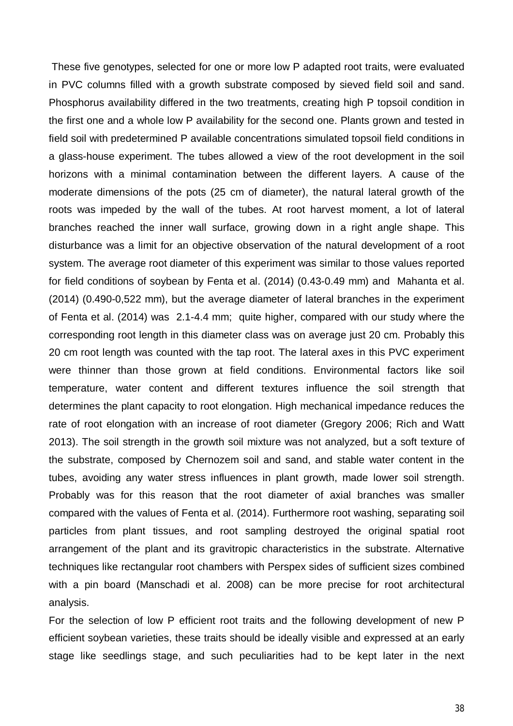These five genotypes, selected for one or more low P adapted root traits, were evaluated in PVC columns filled with a growth substrate composed by sieved field soil and sand. Phosphorus availability differed in the two treatments, creating high P topsoil condition in the first one and a whole low P availability for the second one. Plants grown and tested in field soil with predetermined P available concentrations simulated topsoil field conditions in a glass-house experiment. The tubes allowed a view of the root development in the soil horizons with a minimal contamination between the different layers. A cause of the moderate dimensions of the pots (25 cm of diameter), the natural lateral growth of the roots was impeded by the wall of the tubes. At root harvest moment, a lot of lateral branches reached the inner wall surface, growing down in a right angle shape. This disturbance was a limit for an objective observation of the natural development of a root system. The average root diameter of this experiment was similar to those values reported for field conditions of soybean by Fenta et al. (2014) (0.43-0.49 mm) and Mahanta et al. (2014) (0.490-0,522 mm), but the average diameter of lateral branches in the experiment of Fenta et al. (2014) was 2.1-4.4 mm; quite higher, compared with our study where the corresponding root length in this diameter class was on average just 20 cm. Probably this 20 cm root length was counted with the tap root. The lateral axes in this PVC experiment were thinner than those grown at field conditions. Environmental factors like soil temperature, water content and different textures influence the soil strength that determines the plant capacity to root elongation. High mechanical impedance reduces the rate of root elongation with an increase of root diameter (Gregory 2006; Rich and Watt 2013). The soil strength in the growth soil mixture was not analyzed, but a soft texture of the substrate, composed by Chernozem soil and sand, and stable water content in the tubes, avoiding any water stress influences in plant growth, made lower soil strength. Probably was for this reason that the root diameter of axial branches was smaller compared with the values of Fenta et al. (2014). Furthermore root washing, separating soil particles from plant tissues, and root sampling destroyed the original spatial root arrangement of the plant and its gravitropic characteristics in the substrate. Alternative techniques like rectangular root chambers with Perspex sides of sufficient sizes combined with a pin board (Manschadi et al. 2008) can be more precise for root architectural analysis.

For the selection of low P efficient root traits and the following development of new P efficient soybean varieties, these traits should be ideally visible and expressed at an early stage like seedlings stage, and such peculiarities had to be kept later in the next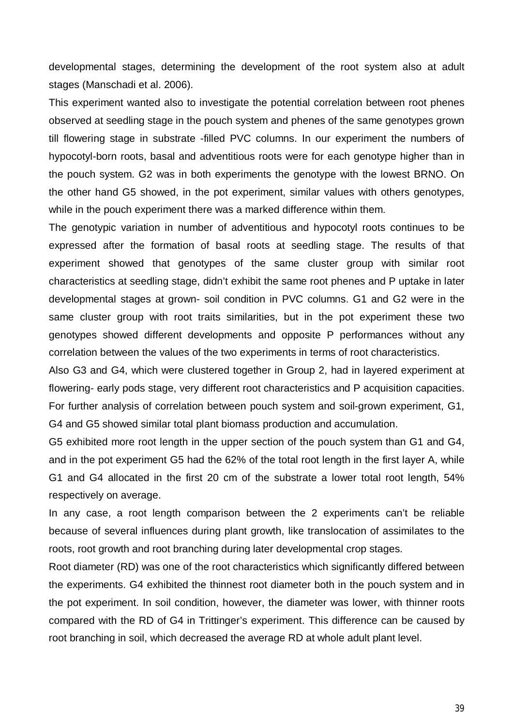developmental stages, determining the development of the root system also at adult stages (Manschadi et al. 2006).

This experiment wanted also to investigate the potential correlation between root phenes observed at seedling stage in the pouch system and phenes of the same genotypes grown till flowering stage in substrate -filled PVC columns. In our experiment the numbers of hypocotyl-born roots, basal and adventitious roots were for each genotype higher than in the pouch system. G2 was in both experiments the genotype with the lowest BRNO. On the other hand G5 showed, in the pot experiment, similar values with others genotypes, while in the pouch experiment there was a marked difference within them.

The genotypic variation in number of adventitious and hypocotyl roots continues to be expressed after the formation of basal roots at seedling stage. The results of that experiment showed that genotypes of the same cluster group with similar root characteristics at seedling stage, didn't exhibit the same root phenes and P uptake in later developmental stages at grown- soil condition in PVC columns. G1 and G2 were in the same cluster group with root traits similarities, but in the pot experiment these two genotypes showed different developments and opposite P performances without any correlation between the values of the two experiments in terms of root characteristics.

Also G3 and G4, which were clustered together in Group 2, had in layered experiment at flowering- early pods stage, very different root characteristics and P acquisition capacities. For further analysis of correlation between pouch system and soil-grown experiment, G1, G4 and G5 showed similar total plant biomass production and accumulation.

G5 exhibited more root length in the upper section of the pouch system than G1 and G4, and in the pot experiment G5 had the 62% of the total root length in the first layer A, while G1 and G4 allocated in the first 20 cm of the substrate a lower total root length, 54% respectively on average.

In any case, a root length comparison between the 2 experiments can't be reliable because of several influences during plant growth, like translocation of assimilates to the roots, root growth and root branching during later developmental crop stages.

Root diameter (RD) was one of the root characteristics which significantly differed between the experiments. G4 exhibited the thinnest root diameter both in the pouch system and in the pot experiment. In soil condition, however, the diameter was lower, with thinner roots compared with the RD of G4 in Trittinger's experiment. This difference can be caused by root branching in soil, which decreased the average RD at whole adult plant level.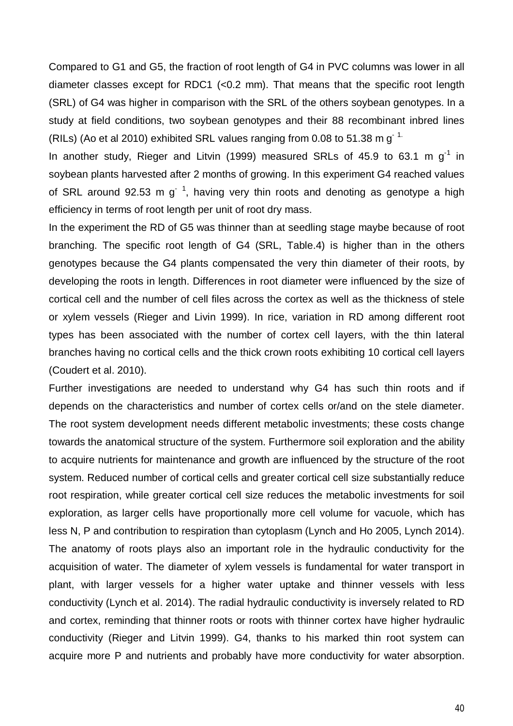Compared to G1 and G5, the fraction of root length of G4 in PVC columns was lower in all diameter classes except for RDC1 (<0.2 mm). That means that the specific root length (SRL) of G4 was higher in comparison with the SRL of the others soybean genotypes. In a study at field conditions, two soybean genotypes and their 88 recombinant inbred lines (RILs) (Ao et al 2010) exhibited SRL values ranging from 0.08 to 51.38 m  $g^{-1}$ .

In another study, Rieger and Litvin (1999) measured SRLs of 45.9 to 63.1 m  $q^{-1}$  in soybean plants harvested after 2 months of growing. In this experiment G4 reached values of SRL around 92.53 m g<sup>-1</sup>, having very thin roots and denoting as genotype a high efficiency in terms of root length per unit of root dry mass.

In the experiment the RD of G5 was thinner than at seedling stage maybe because of root branching. The specific root length of G4 (SRL, Table.4) is higher than in the others genotypes because the G4 plants compensated the very thin diameter of their roots, by developing the roots in length. Differences in root diameter were influenced by the size of cortical cell and the number of cell files across the cortex as well as the thickness of stele or xylem vessels (Rieger and Livin 1999). In rice, variation in RD among different root types has been associated with the number of cortex cell layers, with the thin lateral branches having no cortical cells and the thick crown roots exhibiting 10 cortical cell layers (Coudert et al. 2010).

Further investigations are needed to understand why G4 has such thin roots and if depends on the characteristics and number of cortex cells or/and on the stele diameter. The root system development needs different metabolic investments; these costs change towards the anatomical structure of the system. Furthermore soil exploration and the ability to acquire nutrients for maintenance and growth are influenced by the structure of the root system. Reduced number of cortical cells and greater cortical cell size substantially reduce root respiration, while greater cortical cell size reduces the metabolic investments for soil exploration, as larger cells have proportionally more cell volume for vacuole, which has less N, P and contribution to respiration than cytoplasm (Lynch and Ho 2005, Lynch 2014). The anatomy of roots plays also an important role in the hydraulic conductivity for the acquisition of water. The diameter of xylem vessels is fundamental for water transport in plant, with larger vessels for a higher water uptake and thinner vessels with less conductivity (Lynch et al. 2014). The radial hydraulic conductivity is inversely related to RD and cortex, reminding that thinner roots or roots with thinner cortex have higher hydraulic conductivity (Rieger and Litvin 1999). G4, thanks to his marked thin root system can acquire more P and nutrients and probably have more conductivity for water absorption.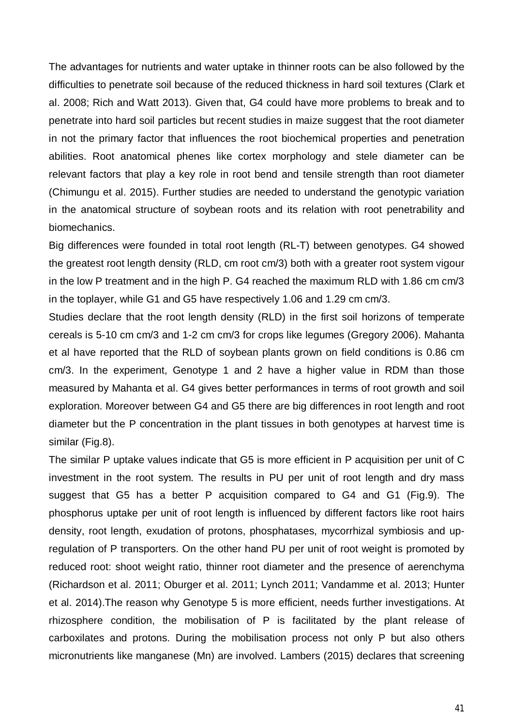The advantages for nutrients and water uptake in thinner roots can be also followed by the difficulties to penetrate soil because of the reduced thickness in hard soil textures (Clark et al. 2008; Rich and Watt 2013). Given that, G4 could have more problems to break and to penetrate into hard soil particles but recent studies in maize suggest that the root diameter in not the primary factor that influences the root biochemical properties and penetration abilities. Root anatomical phenes like cortex morphology and stele diameter can be relevant factors that play a key role in root bend and tensile strength than root diameter (Chimungu et al. 2015). Further studies are needed to understand the genotypic variation in the anatomical structure of soybean roots and its relation with root penetrability and biomechanics.

Big differences were founded in total root length (RL-T) between genotypes. G4 showed the greatest root length density (RLD, cm root cm/3) both with a greater root system vigour in the low P treatment and in the high P. G4 reached the maximum RLD with 1.86 cm cm/3 in the toplayer, while G1 and G5 have respectively 1.06 and 1.29 cm cm/3.

Studies declare that the root length density (RLD) in the first soil horizons of temperate cereals is 5-10 cm cm/3 and 1-2 cm cm/3 for crops like legumes (Gregory 2006). Mahanta et al have reported that the RLD of soybean plants grown on field conditions is 0.86 cm cm/3. In the experiment, Genotype 1 and 2 have a higher value in RDM than those measured by Mahanta et al. G4 gives better performances in terms of root growth and soil exploration. Moreover between G4 and G5 there are big differences in root length and root diameter but the P concentration in the plant tissues in both genotypes at harvest time is similar (Fig.8).

The similar P uptake values indicate that G5 is more efficient in P acquisition per unit of C investment in the root system. The results in PU per unit of root length and dry mass suggest that G5 has a better P acquisition compared to G4 and G1 (Fig.9). The phosphorus uptake per unit of root length is influenced by different factors like root hairs density, root length, exudation of protons, phosphatases, mycorrhizal symbiosis and upregulation of P transporters. On the other hand PU per unit of root weight is promoted by reduced root: shoot weight ratio, thinner root diameter and the presence of aerenchyma (Richardson et al. 2011; Oburger et al. 2011; Lynch 2011; Vandamme et al. 2013; Hunter et al. 2014).The reason why Genotype 5 is more efficient, needs further investigations. At rhizosphere condition, the mobilisation of P is facilitated by the plant release of carboxilates and protons. During the mobilisation process not only P but also others micronutrients like manganese (Mn) are involved. Lambers (2015) declares that screening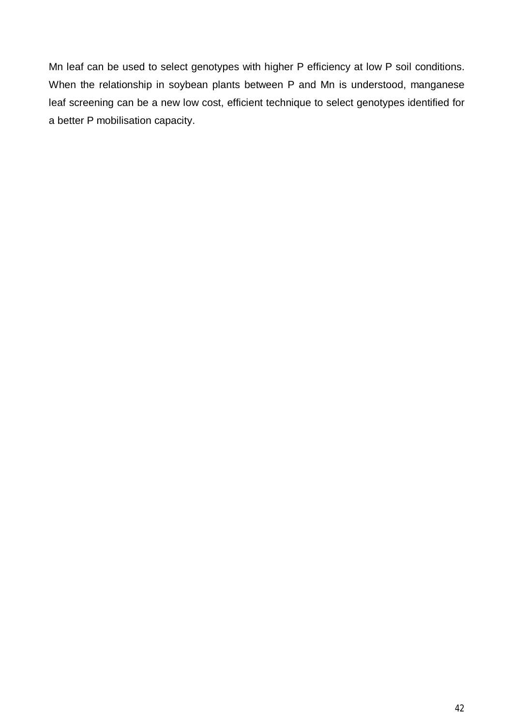Mn leaf can be used to select genotypes with higher P efficiency at low P soil conditions. When the relationship in soybean plants between P and Mn is understood, manganese leaf screening can be a new low cost, efficient technique to select genotypes identified for a better P mobilisation capacity.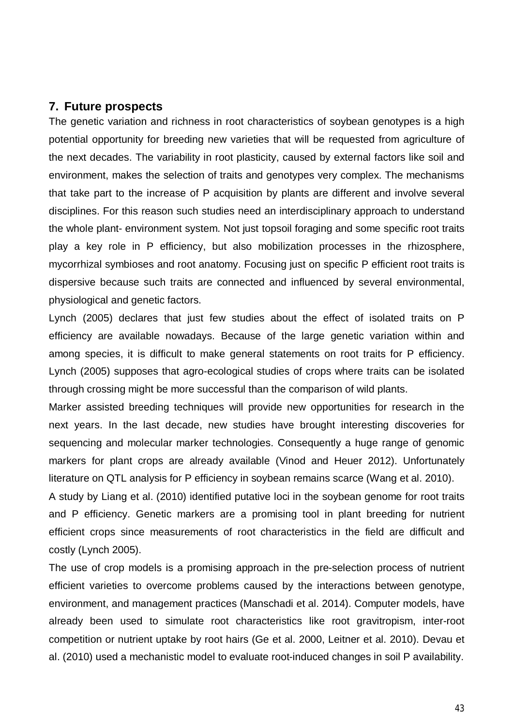#### **7. Future prospects**

The genetic variation and richness in root characteristics of soybean genotypes is a high potential opportunity for breeding new varieties that will be requested from agriculture of the next decades. The variability in root plasticity, caused by external factors like soil and environment, makes the selection of traits and genotypes very complex. The mechanisms that take part to the increase of P acquisition by plants are different and involve several disciplines. For this reason such studies need an interdisciplinary approach to understand the whole plant- environment system. Not just topsoil foraging and some specific root traits play a key role in P efficiency, but also mobilization processes in the rhizosphere, mycorrhizal symbioses and root anatomy. Focusing just on specific P efficient root traits is dispersive because such traits are connected and influenced by several environmental, physiological and genetic factors.

Lynch (2005) declares that just few studies about the effect of isolated traits on P efficiency are available nowadays. Because of the large genetic variation within and among species, it is difficult to make general statements on root traits for P efficiency. Lynch (2005) supposes that agro-ecological studies of crops where traits can be isolated through crossing might be more successful than the comparison of wild plants.

Marker assisted breeding techniques will provide new opportunities for research in the next years. In the last decade, new studies have brought interesting discoveries for sequencing and molecular marker technologies. Consequently a huge range of genomic markers for plant crops are already available (Vinod and Heuer 2012). Unfortunately literature on QTL analysis for P efficiency in soybean remains scarce (Wang et al. 2010).

A study by Liang et al. (2010) identified putative loci in the soybean genome for root traits and P efficiency. Genetic markers are a promising tool in plant breeding for nutrient efficient crops since measurements of root characteristics in the field are difficult and costly (Lynch 2005).

The use of crop models is a promising approach in the pre-selection process of nutrient efficient varieties to overcome problems caused by the interactions between genotype, environment, and management practices (Manschadi et al. 2014). Computer models, have already been used to simulate root characteristics like root gravitropism, inter-root competition or nutrient uptake by root hairs (Ge et al. 2000, Leitner et al. 2010). Devau et al. (2010) used a mechanistic model to evaluate root-induced changes in soil P availability.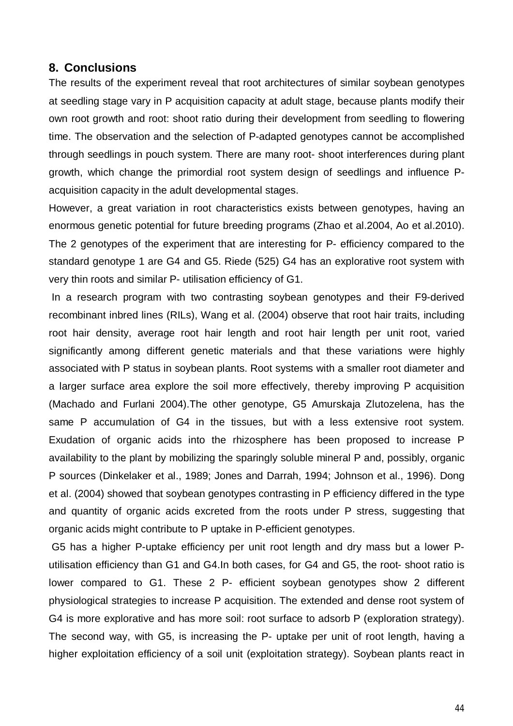#### **8. Conclusions**

The results of the experiment reveal that root architectures of similar soybean genotypes at seedling stage vary in P acquisition capacity at adult stage, because plants modify their own root growth and root: shoot ratio during their development from seedling to flowering time. The observation and the selection of P-adapted genotypes cannot be accomplished through seedlings in pouch system. There are many root- shoot interferences during plant growth, which change the primordial root system design of seedlings and influence Pacquisition capacity in the adult developmental stages.

However, a great variation in root characteristics exists between genotypes, having an enormous genetic potential for future breeding programs (Zhao et al.2004, Ao et al.2010). The 2 genotypes of the experiment that are interesting for P- efficiency compared to the standard genotype 1 are G4 and G5. Riede (525) G4 has an explorative root system with very thin roots and similar P- utilisation efficiency of G1.

 In a research program with two contrasting soybean genotypes and their F9-derived recombinant inbred lines (RILs), Wang et al. (2004) observe that root hair traits, including root hair density, average root hair length and root hair length per unit root, varied significantly among different genetic materials and that these variations were highly associated with P status in soybean plants. Root systems with a smaller root diameter and a larger surface area explore the soil more effectively, thereby improving P acquisition (Machado and Furlani 2004).The other genotype, G5 Amurskaja Zlutozelena, has the same P accumulation of G4 in the tissues, but with a less extensive root system. Exudation of organic acids into the rhizosphere has been proposed to increase P availability to the plant by mobilizing the sparingly soluble mineral P and, possibly, organic P sources (Dinkelaker et al., 1989; Jones and Darrah, 1994; Johnson et al., 1996). Dong et al. (2004) showed that soybean genotypes contrasting in P efficiency differed in the type and quantity of organic acids excreted from the roots under P stress, suggesting that organic acids might contribute to P uptake in P-efficient genotypes.

 G5 has a higher P-uptake efficiency per unit root length and dry mass but a lower Putilisation efficiency than G1 and G4.In both cases, for G4 and G5, the root- shoot ratio is lower compared to G1. These 2 P- efficient soybean genotypes show 2 different physiological strategies to increase P acquisition. The extended and dense root system of G4 is more explorative and has more soil: root surface to adsorb P (exploration strategy). The second way, with G5, is increasing the P- uptake per unit of root length, having a higher exploitation efficiency of a soil unit (exploitation strategy). Soybean plants react in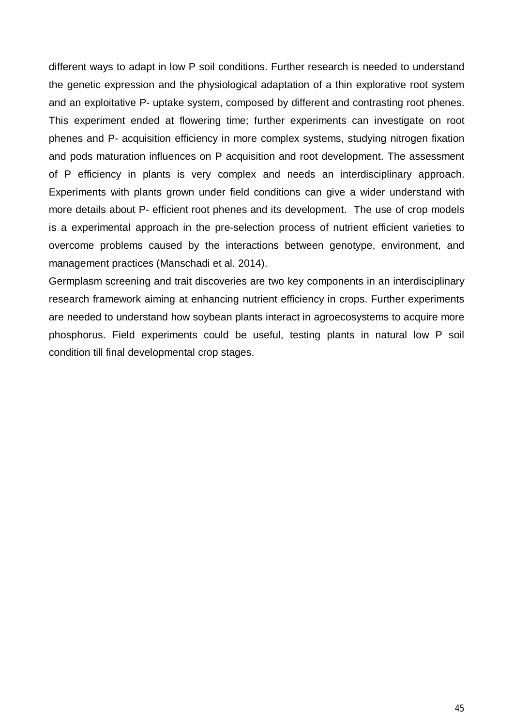different ways to adapt in low P soil conditions. Further research is needed to understand the genetic expression and the physiological adaptation of a thin explorative root system and an exploitative P- uptake system, composed by different and contrasting root phenes. This experiment ended at flowering time; further experiments can investigate on root phenes and P- acquisition efficiency in more complex systems, studying nitrogen fixation and pods maturation influences on P acquisition and root development. The assessment of P efficiency in plants is very complex and needs an interdisciplinary approach. Experiments with plants grown under field conditions can give a wider understand with more details about P- efficient root phenes and its development. The use of crop models is a experimental approach in the pre-selection process of nutrient efficient varieties to overcome problems caused by the interactions between genotype, environment, and management practices (Manschadi et al. 2014).

Germplasm screening and trait discoveries are two key components in an interdisciplinary research framework aiming at enhancing nutrient efficiency in crops. Further experiments are needed to understand how soybean plants interact in agroecosystems to acquire more phosphorus. Field experiments could be useful, testing plants in natural low P soil condition till final developmental crop stages.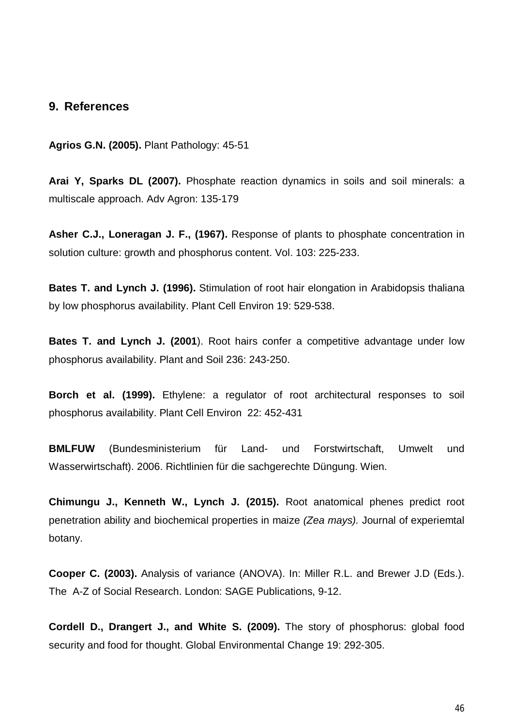#### **9. References**

**Agrios G.N. (2005).** Plant Pathology: 45-51

**Arai Y, Sparks DL (2007).** Phosphate reaction dynamics in soils and soil minerals: a multiscale approach. Adv Agron: 135-179

**Asher C.J., Loneragan J. F., (1967).** Response of plants to phosphate concentration in solution culture: growth and phosphorus content. Vol. 103: 225-233.

**Bates T. and Lynch J. (1996).** Stimulation of root hair elongation in Arabidopsis thaliana by low phosphorus availability. Plant Cell Environ 19: 529-538.

**Bates T. and Lynch J. (2001**). Root hairs confer a competitive advantage under low phosphorus availability. Plant and Soil 236: 243-250.

**Borch et al. (1999).** Ethylene: a regulator of root architectural responses to soil phosphorus availability. Plant Cell Environ 22: 452-431

**BMLFUW** (Bundesministerium für Land- und Forstwirtschaft, Umwelt und Wasserwirtschaft). 2006. Richtlinien für die sachgerechte Düngung. Wien.

**Chimungu J., Kenneth W., Lynch J. (2015).** Root anatomical phenes predict root penetration ability and biochemical properties in maize *(Zea mays).* Journal of experiemtal botany.

**Cooper C. (2003).** Analysis of variance (ANOVA). In: Miller R.L. and Brewer J.D (Eds.). The A-Z of Social Research. London: SAGE Publications, 9-12.

**Cordell D., Drangert J., and White S. (2009).** The story of phosphorus: global food security and food for thought. Global Environmental Change 19: 292-305.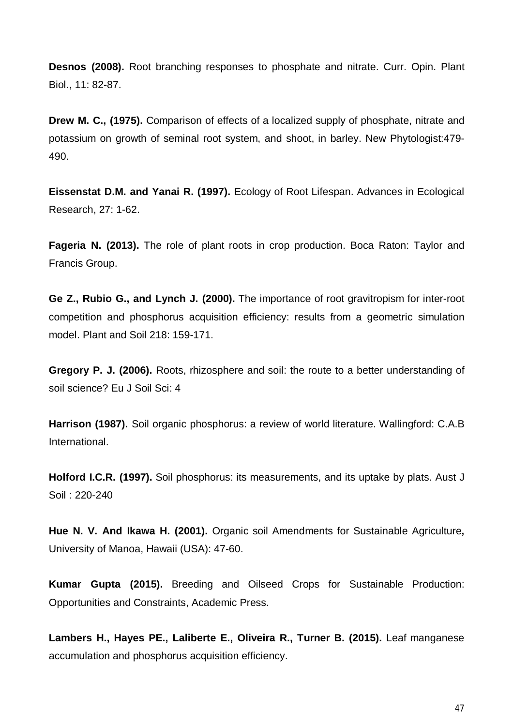**Desnos (2008).** Root branching responses to phosphate and nitrate. Curr. Opin. Plant Biol., 11: 82-87.

**Drew M. C., (1975).** Comparison of effects of a localized supply of phosphate, nitrate and potassium on growth of seminal root system, and shoot, in barley. New Phytologist:479- 490.

**Eissenstat D.M. and Yanai R. (1997).** Ecology of Root Lifespan. Advances in Ecological Research, 27: 1-62.

**Fageria N. (2013).** The role of plant roots in crop production. Boca Raton: Taylor and Francis Group.

**Ge Z., Rubio G., and Lynch J. (2000).** The importance of root gravitropism for inter-root competition and phosphorus acquisition efficiency: results from a geometric simulation model. Plant and Soil 218: 159-171.

**Gregory P. J. (2006).** Roots, rhizosphere and soil: the route to a better understanding of soil science? Eu J Soil Sci: 4

**Harrison (1987).** Soil organic phosphorus: a review of world literature. Wallingford: C.A.B International.

**Holford I.C.R. (1997).** Soil phosphorus: its measurements, and its uptake by plats. Aust J Soil : 220-240

**Hue N. V. And Ikawa H. (2001).** Organic soil Amendments for Sustainable Agriculture**,**  University of Manoa, Hawaii (USA): 47-60.

**Kumar Gupta (2015).** Breeding and Oilseed Crops for Sustainable Production: Opportunities and Constraints, Academic Press.

**Lambers H., Hayes PE., Laliberte E., Oliveira R., Turner B. (2015).** Leaf manganese accumulation and phosphorus acquisition efficiency.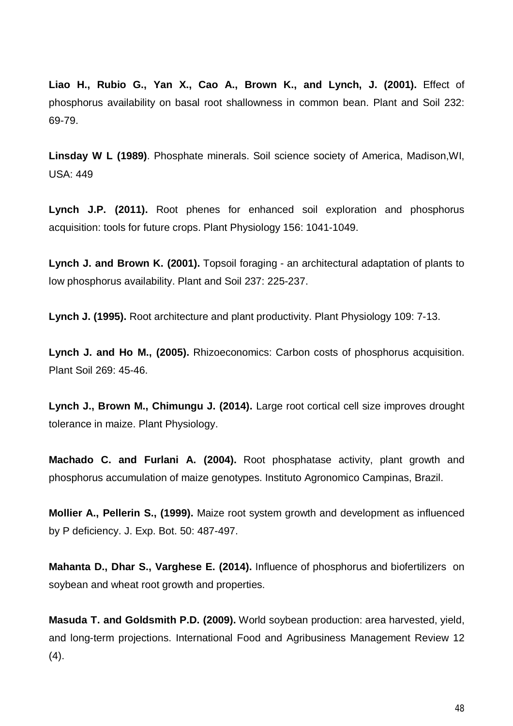**Liao H., Rubio G., Yan X., Cao A., Brown K., and Lynch, J. (2001).** Effect of phosphorus availability on basal root shallowness in common bean. Plant and Soil 232: 69-79.

**Linsday W L (1989)**. Phosphate minerals. Soil science society of America, Madison,WI, USA: 449

**Lynch J.P. (2011).** Root phenes for enhanced soil exploration and phosphorus acquisition: tools for future crops. Plant Physiology 156: 1041-1049.

**Lynch J. and Brown K. (2001).** Topsoil foraging - an architectural adaptation of plants to low phosphorus availability. Plant and Soil 237: 225-237.

**Lynch J. (1995).** Root architecture and plant productivity. Plant Physiology 109: 7-13.

**Lynch J. and Ho M., (2005).** Rhizoeconomics: Carbon costs of phosphorus acquisition. Plant Soil 269: 45-46.

**Lynch J., Brown M., Chimungu J. (2014).** Large root cortical cell size improves drought tolerance in maize. Plant Physiology.

**Machado C. and Furlani A. (2004).** Root phosphatase activity, plant growth and phosphorus accumulation of maize genotypes. Instituto Agronomico Campinas, Brazil.

**Mollier A., Pellerin S., (1999).** Maize root system growth and development as influenced by P deficiency. J. Exp. Bot. 50: 487-497.

**Mahanta D., Dhar S., Varghese E. (2014).** Influence of phosphorus and biofertilizers on soybean and wheat root growth and properties.

**Masuda T. and Goldsmith P.D. (2009).** World soybean production: area harvested, yield, and long-term projections. International Food and Agribusiness Management Review 12 (4).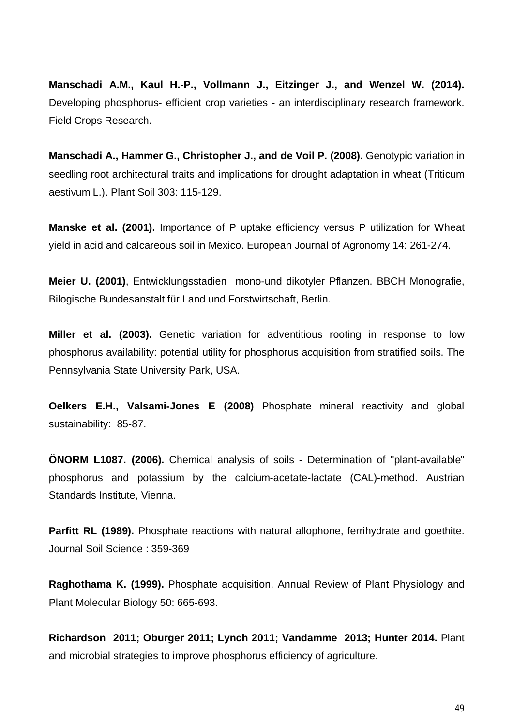**Manschadi A.M., Kaul H.-P., Vollmann J., Eitzinger J., and Wenzel W. (2014).** Developing phosphorus- efficient crop varieties - an interdisciplinary research framework. Field Crops Research.

**Manschadi A., Hammer G., Christopher J., and de Voil P. (2008).** Genotypic variation in seedling root architectural traits and implications for drought adaptation in wheat (Triticum aestivum L.). Plant Soil 303: 115-129.

**Manske et al. (2001).** Importance of P uptake efficiency versus P utilization for Wheat yield in acid and calcareous soil in Mexico. European Journal of Agronomy 14: 261-274.

**Meier U. (2001)**, Entwicklungsstadien mono-und dikotyler Pflanzen. BBCH Monografie, Bilogische Bundesanstalt für Land und Forstwirtschaft, Berlin.

**Miller et al. (2003).** Genetic variation for adventitious rooting in response to low phosphorus availability: potential utility for phosphorus acquisition from stratified soils. The Pennsylvania State University Park, USA.

**Oelkers E.H., Valsami-Jones E (2008)** Phosphate mineral reactivity and global sustainability: 85-87.

**ÖNORM L1087. (2006).** Chemical analysis of soils - Determination of "plant-available" phosphorus and potassium by the calcium-acetate-lactate (CAL)-method. Austrian Standards Institute, Vienna.

**Parfitt RL (1989).** Phosphate reactions with natural allophone, ferrihydrate and goethite. Journal Soil Science : 359-369

**Raghothama K. (1999).** Phosphate acquisition. Annual Review of Plant Physiology and Plant Molecular Biology 50: 665-693.

**Richardson 2011; Oburger 2011; Lynch 2011; Vandamme 2013; Hunter 2014.** Plant and microbial strategies to improve phosphorus efficiency of agriculture.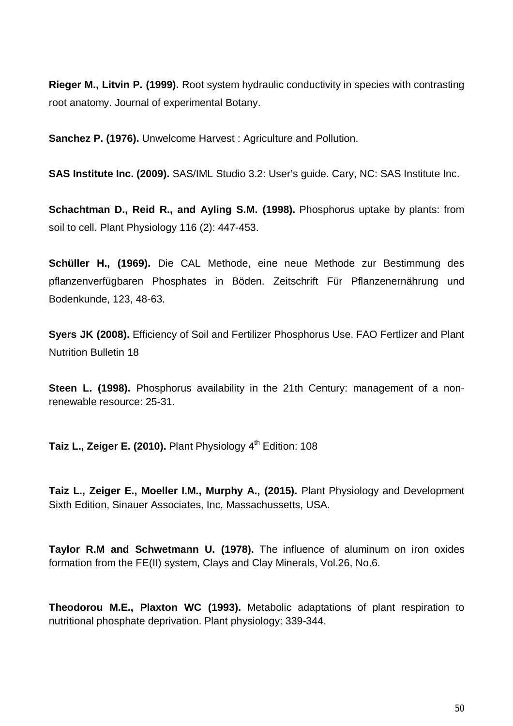**Rieger M., Litvin P. (1999).** Root system hydraulic conductivity in species with contrasting root anatomy. Journal of experimental Botany.

**Sanchez P. (1976).** Unwelcome Harvest: Agriculture and Pollution.

**SAS Institute Inc. (2009).** SAS/IML Studio 3.2: User's guide. Cary, NC: SAS Institute Inc.

**Schachtman D., Reid R., and Ayling S.M. (1998).** Phosphorus uptake by plants: from soil to cell. Plant Physiology 116 (2): 447-453.

**Schüller H., (1969).** Die CAL Methode, eine neue Methode zur Bestimmung des pflanzenverfügbaren Phosphates in Böden. Zeitschrift Für Pflanzenernährung und Bodenkunde, 123, 48-63.

**Syers JK (2008).** Efficiency of Soil and Fertilizer Phosphorus Use. FAO Fertlizer and Plant Nutrition Bulletin 18

**Steen L. (1998).** Phosphorus availability in the 21th Century: management of a nonrenewable resource: 25-31.

**Taiz L., Zeiger E. (2010).** Plant Physiology 4<sup>th</sup> Edition: 108

**Taiz L., Zeiger E., Moeller I.M., Murphy A., (2015).** Plant Physiology and Development Sixth Edition, Sinauer Associates, Inc, Massachussetts, USA.

**Taylor R.M and Schwetmann U. (1978).** The influence of aluminum on iron oxides formation from the FE(II) system, Clays and Clay Minerals, Vol.26, No.6.

**Theodorou M.E., Plaxton WC (1993).** Metabolic adaptations of plant respiration to nutritional phosphate deprivation. Plant physiology: 339-344.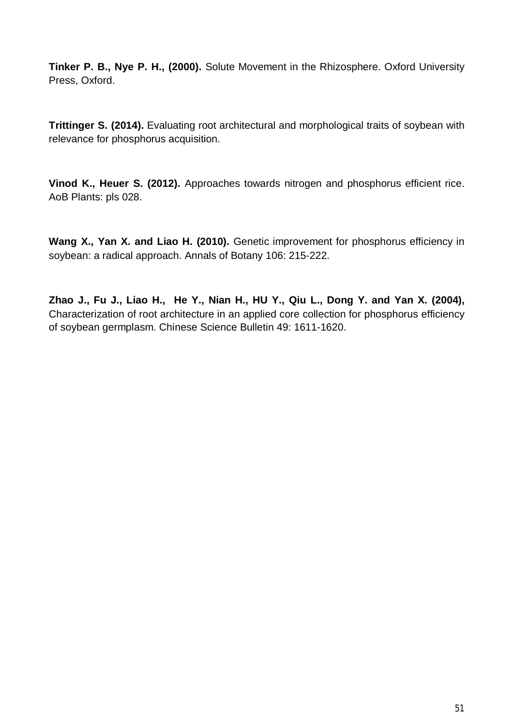**Tinker P. B., Nye P. H., (2000).** Solute Movement in the Rhizosphere. Oxford University Press, Oxford.

**Trittinger S. (2014).** Evaluating root architectural and morphological traits of soybean with relevance for phosphorus acquisition.

**Vinod K., Heuer S. (2012).** Approaches towards nitrogen and phosphorus efficient rice. AoB Plants: pls 028.

**Wang X., Yan X. and Liao H. (2010).** Genetic improvement for phosphorus efficiency in soybean: a radical approach. Annals of Botany 106: 215-222.

**Zhao J., Fu J., Liao H., He Y., Nian H., HU Y., Qiu L., Dong Y. and Yan X. (2004),**  Characterization of root architecture in an applied core collection for phosphorus efficiency of soybean germplasm. Chinese Science Bulletin 49: 1611-1620.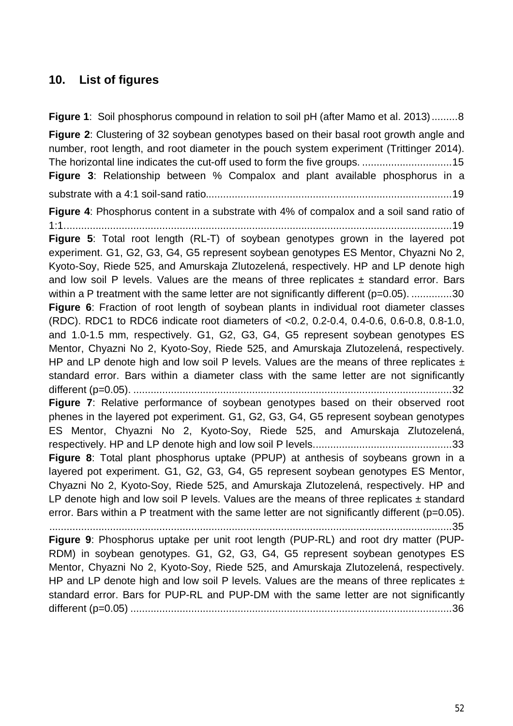# **10. List of figures**

**Figure 1**: Soil phosphorus compound in relation to soil pH (after Mamo et al. 2013) ......... 8 **Figure 2**: Clustering of 32 soybean genotypes based on their basal root growth angle and number, root length, and root diameter in the pouch system experiment (Trittinger 2014). The horizontal line indicates the cut-off used to form the five groups. ............................... 15 **Figure 3**: Relationship between % Compalox and plant available phosphorus in a substrate with a 4:1 soil-sand ratio..................................................................................... 19 **Figure 4**: Phosphorus content in a substrate with 4% of compalox and a soil sand ratio of 1:1. ..................................................................................................................................... 19 **Figure 5**: Total root length (RL-T) of soybean genotypes grown in the layered pot experiment. G1, G2, G3, G4, G5 represent soybean genotypes ES Mentor, Chyazni No 2, Kyoto-Soy, Riede 525, and Amurskaja Zlutozelená, respectively. HP and LP denote high and low soil P levels. Values are the means of three replicates  $\pm$  standard error. Bars within a P treatment with the same letter are not significantly different (p=0.05). ..............30 **Figure 6**: Fraction of root length of soybean plants in individual root diameter classes (RDC). RDC1 to RDC6 indicate root diameters of <0.2, 0.2-0.4, 0.4-0.6, 0.6-0.8, 0.8-1.0, and 1.0-1.5 mm, respectively. G1, G2, G3, G4, G5 represent soybean genotypes ES Mentor, Chyazni No 2, Kyoto-Soy, Riede 525, and Amurskaja Zlutozelená, respectively. HP and LP denote high and low soil P levels. Values are the means of three replicates  $\pm$ standard error. Bars within a diameter class with the same letter are not significantly different (p=0.05). .............................................................................................................. 32 **Figure 7**: Relative performance of soybean genotypes based on their observed root phenes in the layered pot experiment. G1, G2, G3, G4, G5 represent soybean genotypes ES Mentor, Chyazni No 2, Kyoto-Soy, Riede 525, and Amurskaja Zlutozelená, respectively. HP and LP denote high and low soil P levels. ............................................... 33 **Figure 8**: Total plant phosphorus uptake (PPUP) at anthesis of soybeans grown in a layered pot experiment. G1, G2, G3, G4, G5 represent soybean genotypes ES Mentor, Chyazni No 2, Kyoto-Soy, Riede 525, and Amurskaja Zlutozelená, respectively. HP and LP denote high and low soil P levels. Values are the means of three replicates  $\pm$  standard error. Bars within a P treatment with the same letter are not significantly different (p=0.05). ........................................................................................................................................... 35 **Figure 9**: Phosphorus uptake per unit root length (PUP-RL) and root dry matter (PUP-RDM) in soybean genotypes. G1, G2, G3, G4, G5 represent soybean genotypes ES Mentor, Chyazni No 2, Kyoto-Soy, Riede 525, and Amurskaja Zlutozelená, respectively. HP and LP denote high and low soil P levels. Values are the means of three replicates  $\pm$ standard error. Bars for PUP-RL and PUP-DM with the same letter are not significantly different (p=0.05) ............................................................................................................... 36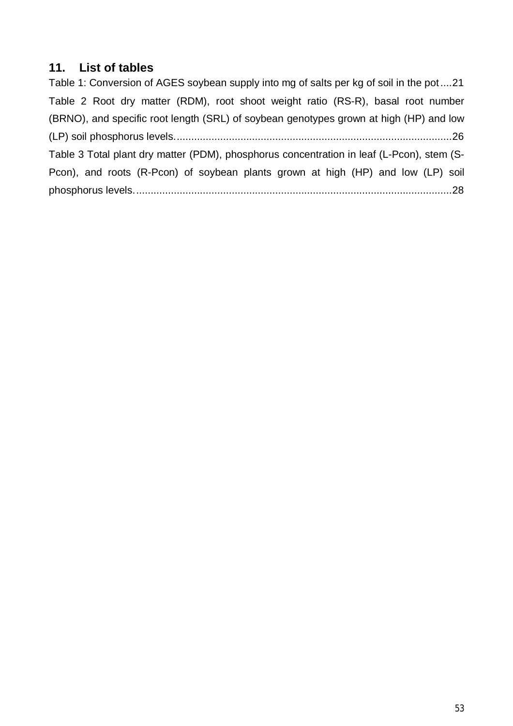## **11. List of tables**

Table 1: Conversion of AGES soybean supply into mg of salts per kg of soil in the pot .... 21 Table 2 Root dry matter (RDM), root shoot weight ratio (RS-R), basal root number (BRNO), and specific root length (SRL) of soybean genotypes grown at high (HP) and low (LP) soil phosphorus levels. ............................................................................................... 26 Table 3 Total plant dry matter (PDM), phosphorus concentration in leaf (L-Pcon), stem (S-Pcon), and roots (R-Pcon) of soybean plants grown at high (HP) and low (LP) soil phosphorus levels. ............................................................................................................. 28